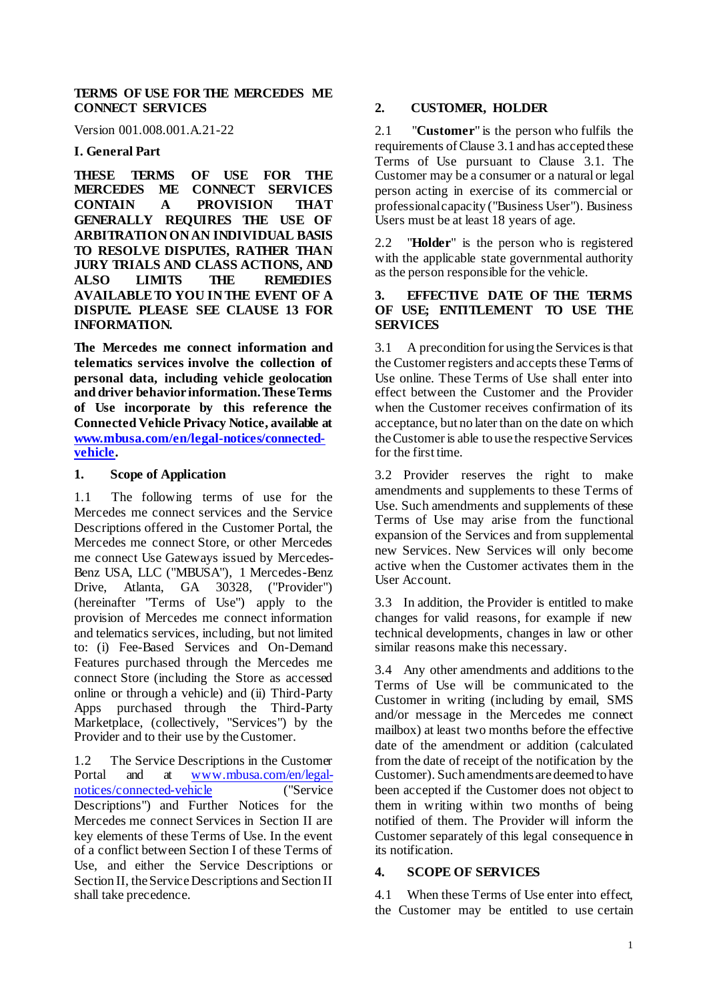### **TERMS OF USE FOR THE MERCEDES ME CONNECT SERVICES**

Version 001.008.001.A.21-22

### **I. General Part**

**THESE TERMS OF USE FOR THE CONNECT SERVICES CONTAIN A PROVISION THAT GENERALLY REQUIRES THE USE OF ARBITRATION ON AN INDIVIDUAL BASIS TO RESOLVE DISPUTES, RATHER THAN JURY TRIALS AND CLASS ACTIONS, AND ALSO LIMITS THE REMEDIES AVAILABLE TO YOU IN THE EVENT OF A DISPUTE. PLEASE SEE CLAUSE 13 FOR INFORMATION.**

**The Mercedes me connect information and telematics services involve the collection of personal data, including vehicle geolocation and driver behavior information. These Terms of Use incorporate by this reference the Connected Vehicle Privacy Notice, available at [www.mbusa.com/en/legal-notices/connected](http://www.mbusa.com/en/legal-notices/connected-vehicle)[vehicle.](http://www.mbusa.com/en/legal-notices/connected-vehicle)** 

### **1. Scope of Application**

1.1 The following terms of use for the Mercedes me connect services and the Service Descriptions offered in the Customer Portal, the Mercedes me connect Store, or other Mercedes me connect Use Gateways issued by Mercedes-Benz USA, LLC ("MBUSA"), 1 Mercedes-Benz Drive, Atlanta, GA 30328, ("Provider") (hereinafter "Terms of Use") apply to the provision of Mercedes me connect information and telematics services, including, but not limited to: (i) Fee-Based Services and On-Demand Features purchased through the Mercedes me connect Store (including the Store as accessed online or through a vehicle) and (ii) Third-Party Apps purchased through the Third-Party Marketplace, (collectively, "Services") by the Provider and to their use by the Customer.

1.2 The Service Descriptions in the Customer<br>Portal and at www.mbusa.com/en/legalat [www.mbusa.com/en/legal](http://www.mbusa.com/en/legal-notices/connected-vehicle)[notices/connected-vehicle](http://www.mbusa.com/en/legal-notices/connected-vehicle) ("Service Descriptions") and Further Notices for the Mercedes me connect Services in Section II are key elements of these Terms of Use. In the event of a conflict between Section I of these Terms of Use, and either the Service Descriptions or Section II, the Service Descriptions and Section II shall take precedence.

# **2. CUSTOMER, HOLDER**

2.1 "**Customer**" is the person who fulfils the requirements of Claus[e 3.1](#page-0-0) and has accepted these Terms of Use pursuant to Clause [3.1.](#page-0-1) The Customer may be a consumer or a natural or legal person acting in exercise of its commercial or professional capacity ("Business User"). Business Users must be at least 18 years of age.

2.2 "**Holder**" is the person who is registered with the applicable state governmental authority as the person responsible for the vehicle.

#### **3. EFFECTIVE DATE OF THE TERMS OF USE; ENTITLEMENT TO USE THE SERVICES**

<span id="page-0-1"></span>3.1 A precondition for using the Services is that the Customer registers and accepts these Terms of Use online. These Terms of Use shall enter into effect between the Customer and the Provider when the Customer receives confirmation of its acceptance, but no later than on the date on which the Customer is able to use the respective Services for the first time.

3.2 Provider reserves the right to make amendments and supplements to these Terms of Use. Such amendments and supplements of these Terms of Use may arise from the functional expansion of the Services and from supplemental new Services. New Services will only become active when the Customer activates them in the User Account.

3.3 In addition, the Provider is entitled to make changes for valid reasons, for example if new technical developments, changes in law or other similar reasons make this necessary.

3.4 Any other amendments and additions to the Terms of Use will be communicated to the Customer in writing (including by email, SMS and/or message in the Mercedes me connect mailbox) at least two months before the effective date of the amendment or addition (calculated from the date of receipt of the notification by the Customer). Such amendments are deemed to have been accepted if the Customer does not object to them in writing within two months of being notified of them. The Provider will inform the Customer separately of this legal consequence in its notification.

# **4. SCOPE OF SERVICES**

<span id="page-0-0"></span>4.1 When these Terms of Use enter into effect, the Customer may be entitled to use certain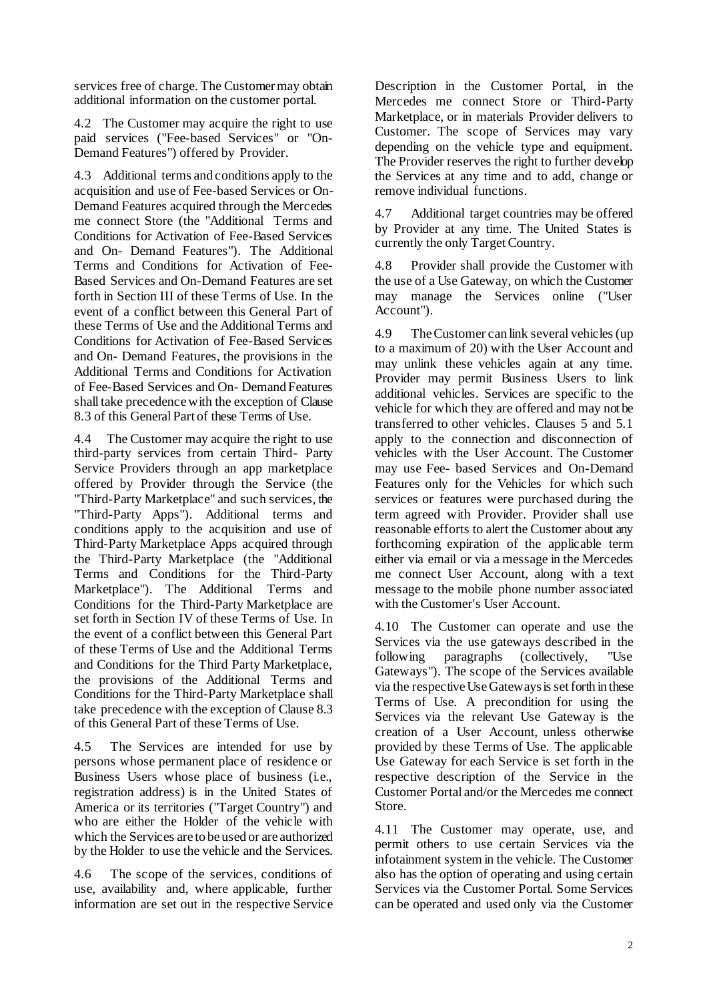services free of charge. The Customermay obtain additional information on the customer portal.

4.2 The Customer may acquire the right to use paid services ("Fee-based Services" or "On-Demand Features") offered by Provider.

4.3 Additional terms and conditions apply to the acquisition and use of Fee-based Services or On-Demand Features acquired through the Mercedes me connect Store (the "Additional Terms and Conditions for Activation of Fee-Based Services and On- Demand Features"). The Additional Terms and Conditions for Activation of Fee-Based Services and On-Demand Features are set forth in Section III of these Terms of Use. In the event of a conflict between this General Part of these Terms of Use and the Additional Terms and Conditions for Activation of Fee-Based Services and On- Demand Features, the provisions in the Additional Terms and Conditions for Activation of Fee-Based Services and On- Demand Features shall take precedencewith the exception of Clause 8.3 of this General Part of these Terms of Use.

4.4 The Customer may acquire the right to use third-party services from certain Third- Party Service Providers through an app marketplace offered by Provider through the Service (the "Third-Party Marketplace" and such services, the "Third-Party Apps"). Additional terms and conditions apply to the acquisition and use of Third-Party Marketplace Apps acquired through the Third-Party Marketplace (the "Additional Terms and Conditions for the Third-Party Marketplace"). The Additional Terms and Conditions for the Third-Party Marketplace are set forth in Section IV of these Terms of Use. In the event of a conflict between this General Part of these Terms of Use and the Additional Terms and Conditions for the Third Party Marketplace, the provisions of the Additional Terms and Conditions for the Third-Party Marketplace shall take precedence with the exception of Clause 8.3 of this General Part of these Terms of Use.

4.5 The Services are intended for use by persons whose permanent place of residence or Business Users whose place of business (i.e., registration address) is in the United States of America or its territories ("Target Country") and who are either the Holder of the vehicle with which the Services are to be used or are authorized by the Holder to use the vehicle and the Services.

4.6 The scope of the services, conditions of use, availability and, where applicable, further information are set out in the respective Service Description in the Customer Portal, in the Mercedes me connect Store or Third-Party Marketplace, or in materials Provider delivers to Customer. The scope of Services may vary depending on the vehicle type and equipment. The Provider reserves the right to further develop the Services at any time and to add, change or remove individual functions.

4.7 Additional target countries may be offered by Provider at any time. The United States is currently the only Target Country.

4.8 Provider shall provide the Customer with the use of a Use Gateway, on which the Customer may manage the Services online ("User Account").

4.9 TheCustomer can link several vehicles(up to a maximum of 20) with the User Account and may unlink these vehicles again at any time. Provider may permit Business Users to link additional vehicles. Services are specific to the vehicle for which they are offered and may not be transferred to other vehicles. Clauses 5 and 5.1 apply to the connection and disconnection of vehicles with the User Account. The Customer may use Fee- based Services and On-Demand Features only for the Vehicles for which such services or features were purchased during the term agreed with Provider. Provider shall use reasonable efforts to alert the Customer about any forthcoming expiration of the applicable term either via email or via a message in the Mercedes me connect User Account, along with a text message to the mobile phone number associated with the Customer's User Account.

4.10 The Customer can operate and use the Services via the use gateways described in the following paragraphs (collectively, "Use Gateways"). The scope of the Services available via the respective Use Gateways is set forth in these Terms of Use. A precondition for using the Services via the relevant Use Gateway is the creation of a User Account, unless otherwise provided by these Terms of Use. The applicable Use Gateway for each Service is set forth in the respective description of the Service in the Customer Portal and/or the Mercedes me connect Store.

4.11 The Customer may operate, use, and permit others to use certain Services via the infotainment system in the vehicle. The Customer also has the option of operating and using certain Services via the Customer Portal. Some Services can be operated and used only via the Customer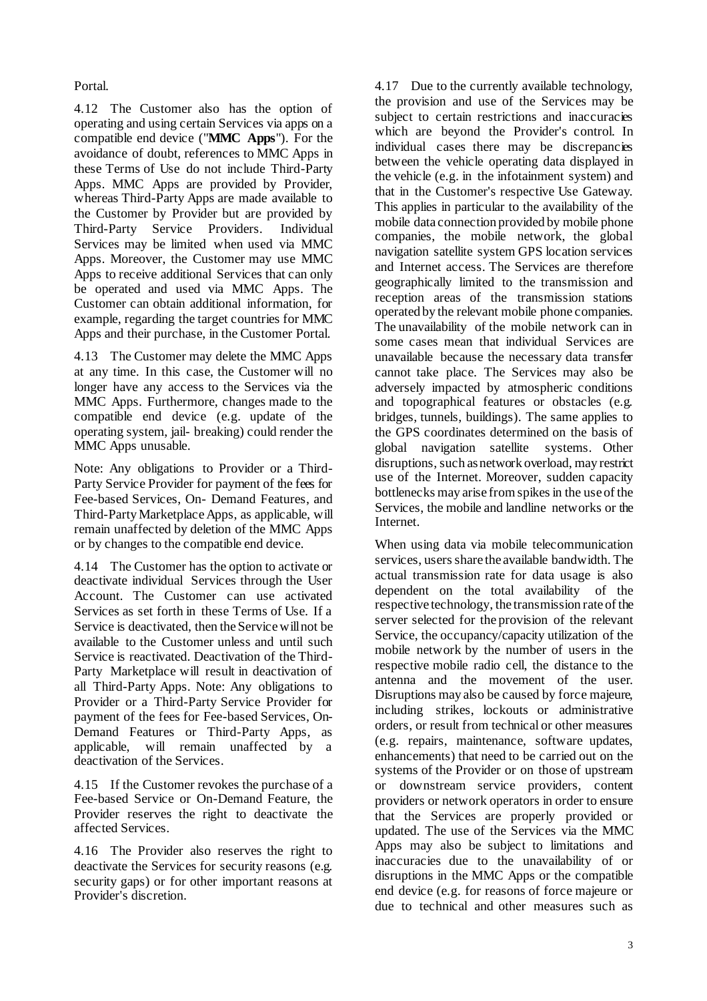Portal.

4.12 The Customer also has the option of operating and using certain Services via apps on a compatible end device ("**MMC Apps**"). For the avoidance of doubt, references to MMC Apps in these Terms of Use do not include Third-Party Apps. MMC Apps are provided by Provider, whereas Third-Party Apps are made available to the Customer by Provider but are provided by Third-Party Service Providers. Individual Services may be limited when used via MMC Apps. Moreover, the Customer may use MMC Apps to receive additional Services that can only be operated and used via MMC Apps. The Customer can obtain additional information, for example, regarding the target countries for MMC Apps and their purchase, in the Customer Portal.

<span id="page-2-0"></span>4.13 The Customer may delete the MMC Apps at any time. In this case, the Customer will no longer have any access to the Services via the MMC Apps. Furthermore, changes made to the compatible end device (e.g. update of the operating system, jail- breaking) could render the MMC Apps unusable.

Note: Any obligations to Provider or a Third-Party Service Provider for payment of the fees for Fee-based Services, On- Demand Features, and Third-Party Marketplace Apps, as applicable, will remain unaffected by deletion of the MMC Apps or by changes to the compatible end device.

<span id="page-2-1"></span>4.14 The Customer has the option to activate or deactivate individual Services through the User Account. The Customer can use activated Services as set forth in these Terms of Use. If a Service is deactivated, then the Service will not be available to the Customer unless and until such Service is reactivated. Deactivation of the Third-Party Marketplace will result in deactivation of all Third-Party Apps. Note: Any obligations to Provider or a Third-Party Service Provider for payment of the fees for Fee-based Services, On-Demand Features or Third-Party Apps, as applicable, will remain unaffected by a deactivation of the Services.

4.15 If the Customer revokes the purchase of a Fee-based Service or On-Demand Feature, the Provider reserves the right to deactivate the affected Services.

4.16 The Provider also reserves the right to deactivate the Services for security reasons (e.g. security gaps) or for other important reasons at Provider's discretion.

4.17 Due to the currently available technology, the provision and use of the Services may be subject to certain restrictions and inaccuracies which are beyond the Provider's control. In individual cases there may be discrepancies between the vehicle operating data displayed in the vehicle (e.g. in the infotainment system) and that in the Customer's respective Use Gateway. This applies in particular to the availability of the mobile data connection provided by mobile phone companies, the mobile network, the global navigation satellite system GPS location services and Internet access. The Services are therefore geographically limited to the transmission and reception areas of the transmission stations operated by the relevant mobile phone companies. The unavailability of the mobile network can in some cases mean that individual Services are unavailable because the necessary data transfer cannot take place. The Services may also be adversely impacted by atmospheric conditions and topographical features or obstacles (e.g. bridges, tunnels, buildings). The same applies to the GPS coordinates determined on the basis of global navigation satellite systems. Other disruptions, such as network overload, may restrict use of the Internet. Moreover, sudden capacity bottlenecks may arise from spikes in the use of the Services, the mobile and landline networks or the Internet.

When using data via mobile telecommunication services, users share the available bandwidth. The actual transmission rate for data usage is also dependent on the total availability of the respective technology, the transmission rate of the server selected for the provision of the relevant Service, the occupancy/capacity utilization of the mobile network by the number of users in the respective mobile radio cell, the distance to the antenna and the movement of the user. Disruptions may also be caused by force majeure, including strikes, lockouts or administrative orders, or result from technical or other measures (e.g. repairs, maintenance, software updates, enhancements) that need to be carried out on the systems of the Provider or on those of upstream or downstream service providers, content providers or network operators in order to ensure that the Services are properly provided or updated. The use of the Services via the MMC Apps may also be subject to limitations and inaccuracies due to the unavailability of or disruptions in the MMC Apps or the compatible end device (e.g. for reasons of force majeure or due to technical and other measures such as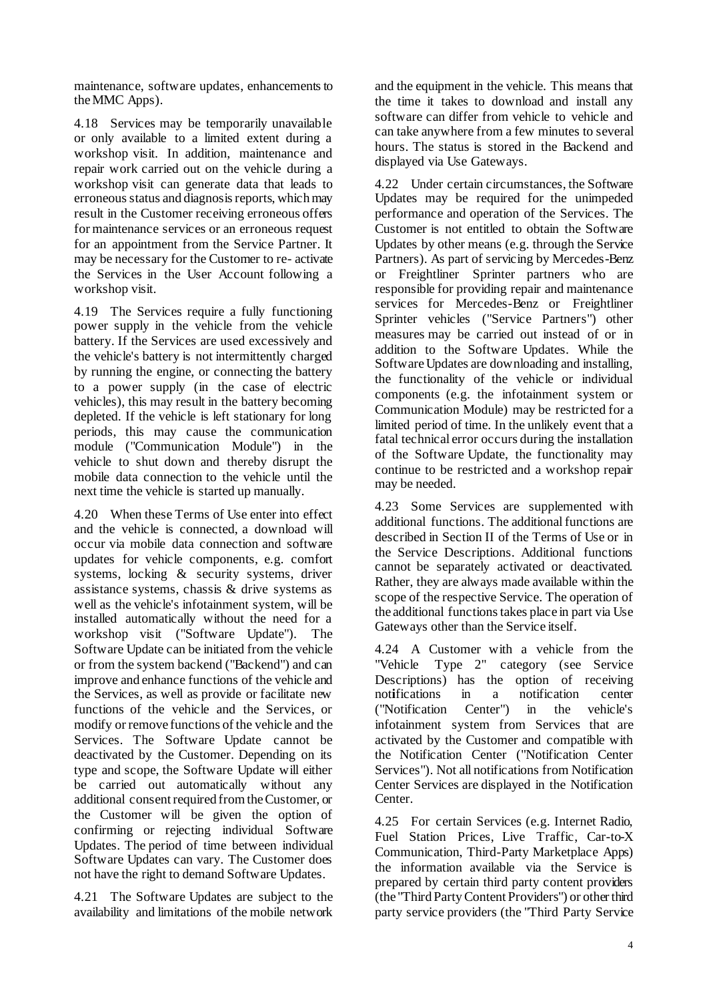maintenance, software updates, enhancements to theMMC Apps).

4.18 Services may be temporarily unavailable or only available to a limited extent during a workshop visit. In addition, maintenance and repair work carried out on the vehicle during a workshop visit can generate data that leads to erroneous status and diagnosis reports, which may result in the Customer receiving erroneous offers for maintenance services or an erroneous request for an appointment from the Service Partner. It may be necessary for the Customer to re- activate the Services in the User Account following a workshop visit.

4.19 The Services require a fully functioning power supply in the vehicle from the vehicle battery. If the Services are used excessively and the vehicle's battery is not intermittently charged by running the engine, or connecting the battery to a power supply (in the case of electric vehicles), this may result in the battery becoming depleted. If the vehicle is left stationary for long periods, this may cause the communication module ("Communication Module") in the vehicle to shut down and thereby disrupt the mobile data connection to the vehicle until the next time the vehicle is started up manually.

4.20 When these Terms of Use enter into effect and the vehicle is connected, a download will occur via mobile data connection and software updates for vehicle components, e.g. comfort systems, locking & security systems, driver assistance systems, chassis & drive systems as well as the vehicle's infotainment system, will be installed automatically without the need for a workshop visit ("Software Update"). The Software Update can be initiated from the vehicle or from the system backend ("Backend") and can improve and enhance functions of the vehicle and the Services, as well as provide or facilitate new functions of the vehicle and the Services, or modify or remove functions of the vehicle and the Services. The Software Update cannot be deactivated by the Customer. Depending on its type and scope, the Software Update will either be carried out automatically without any additional consent required from the Customer, or the Customer will be given the option of confirming or rejecting individual Software Updates. The period of time between individual Software Updates can vary. The Customer does not have the right to demand Software Updates.

4.21 The Software Updates are subject to the availability and limitations of the mobile network

and the equipment in the vehicle. This means that the time it takes to download and install any software can differ from vehicle to vehicle and can take anywhere from a few minutes to several hours. The status is stored in the Backend and displayed via Use Gateways.

4.22 Under certain circumstances, the Software Updates may be required for the unimpeded performance and operation of the Services. The Customer is not entitled to obtain the Software Updates by other means (e.g. through the Service Partners). As part of servicing by Mercedes-Benz or Freightliner Sprinter partners who are responsible for providing repair and maintenance services for Mercedes-Benz or Freightliner Sprinter vehicles ("Service Partners") other measures may be carried out instead of or in addition to the Software Updates. While the Software Updates are downloading and installing, the functionality of the vehicle or individual components (e.g. the infotainment system or Communication Module) may be restricted for a limited period of time. In the unlikely event that a fatal technical error occurs during the installation of the Software Update, the functionality may continue to be restricted and a workshop repair may be needed.

4.23 Some Services are supplemented with additional functions. The additional functions are described in Section II of the Terms of Use or in the Service Descriptions. Additional functions cannot be separately activated or deactivated. Rather, they are always made available within the scope of the respective Service. The operation of the additional functions takes place in part via Use Gateways other than the Service itself.

4.24 A Customer with a vehicle from the "Vehicle Type 2" category (see Service Descriptions) has the option of receiving not**i**fications in a notification center ("Notification Center") in the vehicle's infotainment system from Services that are activated by the Customer and compatible with the Notification Center ("Notification Center Services"). Not all notifications from Notification Center Services are displayed in the Notification Center.

4.25 For certain Services (e.g. Internet Radio, Fuel Station Prices, Live Traffic, Car-to-X Communication, Third-Party Marketplace Apps) the information available via the Service is prepared by certain third party content providers (the "Third Party Content Providers") or other third party service providers (the "Third Party Service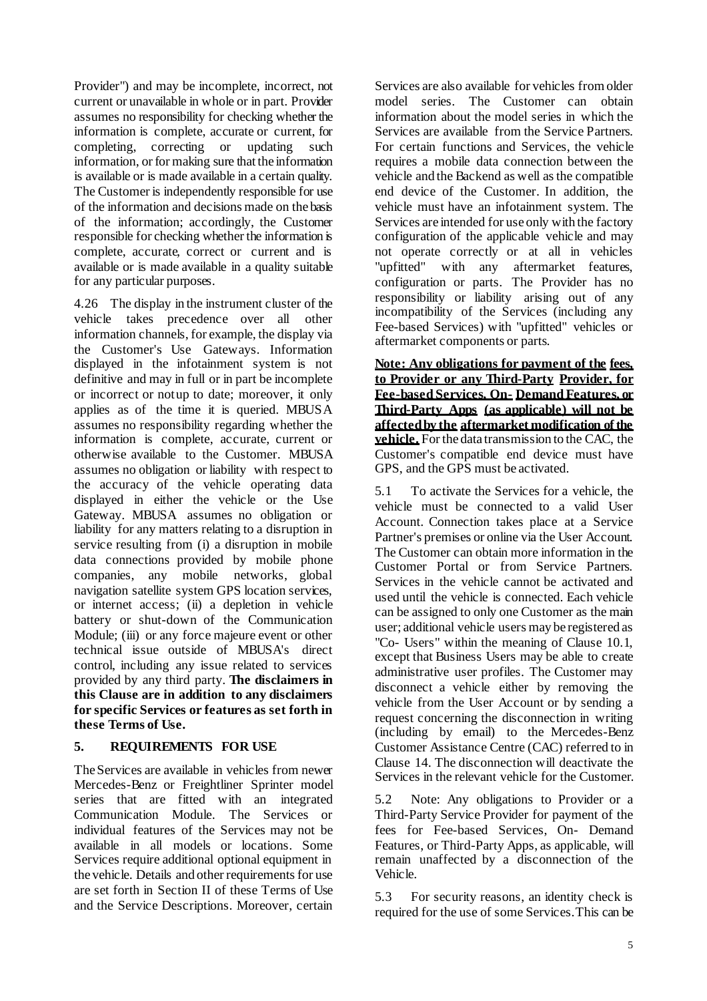Provider") and may be incomplete, incorrect, not current or unavailable in whole or in part. Provider assumes no responsibility for checking whether the information is complete, accurate or current, for completing, correcting or updating such information, or for making sure that the information is available or is made available in a certain quality. The Customer is independently responsible for use of the information and decisions made on the basis of the information; accordingly, the Customer responsible for checking whether the information is complete, accurate, correct or current and is available or is made available in a quality suitable for any particular purposes.

4.26 The display in the instrument cluster of the vehicle takes precedence over all other information channels, for example, the display via the Customer's Use Gateways. Information displayed in the infotainment system is not definitive and may in full or in part be incomplete or incorrect or notup to date; moreover, it only applies as of the time it is queried. MBUSA assumes no responsibility regarding whether the information is complete, accurate, current or otherwise available to the Customer. MBUSA assumes no obligation or liability with respect to the accuracy of the vehicle operating data displayed in either the vehicle or the Use Gateway. MBUSA assumes no obligation or liability for any matters relating to a disruption in service resulting from (i) a disruption in mobile data connections provided by mobile phone companies, any mobile networks, global navigation satellite system GPS location services, or internet access; (ii) a depletion in vehicle battery or shut-down of the Communication Module; (iii) or any force majeure event or other technical issue outside of MBUSA's direct control, including any issue related to services provided by any third party. **The disclaimers in this Clause are in addition to any disclaimers for specific Services or features as set forth in these Terms of Use.**

# **5. REQUIREMENTS FOR USE**

TheServices are available in vehicles from newer Mercedes-Benz or Freightliner Sprinter model series that are fitted with an integrated Communication Module. The Services or individual features of the Services may not be available in all models or locations. Some Services require additional optional equipment in the vehicle. Details and other requirements for use are set forth in Section II of these Terms of Use and the Service Descriptions. Moreover, certain

Services are also available for vehicles from older model series. The Customer can obtain information about the model series in which the Services are available from the Service Partners. For certain functions and Services, the vehicle requires a mobile data connection between the vehicle and the Backend as well as the compatible end device of the Customer. In addition, the vehicle must have an infotainment system. The Services are intended for use only with the factory configuration of the applicable vehicle and may not operate correctly or at all in vehicles "upfitted" with any aftermarket features, configuration or parts. The Provider has no responsibility or liability arising out of any incompatibility of the Services (including any Fee-based Services) with "upfitted" vehicles or aftermarket components or parts.

**Note: Any obligations for payment of the fees, to Provider or any Third-Party Provider, for Fee-based Services, On- Demand Features, or Third-Party Apps (as applicable) will not be affectedby the aftermarket modification of the vehicle.** For the data transmission to the CAC, the Customer's compatible end device must have GPS, and the GPS must be activated.

<span id="page-4-0"></span>5.1 To activate the Services for a vehicle, the vehicle must be connected to a valid User Account. Connection takes place at a Service Partner's premises or online via the User Account. The Customer can obtain more information in the Customer Portal or from Service Partners. Services in the vehicle cannot be activated and used until the vehicle is connected. Each vehicle can be assigned to only one Customer as the main user; additional vehicle users may be registered as "Co- Users" within the meaning of Clause 10.1, except that Business Users may be able to create administrative user profiles. The Customer may disconnect a vehicle either by removing the vehicle from the User Account or by sending a request concerning the disconnection in writing (including by email) to the Mercedes-Benz Customer Assistance Centre (CAC) referred to in Clause 14. The disconnection will deactivate the Services in the relevant vehicle for the Customer.

5.2 Note: Any obligations to Provider or a Third-Party Service Provider for payment of the fees for Fee-based Services, On- Demand Features, or Third-Party Apps, as applicable, will remain unaffected by a disconnection of the Vehicle.

5.3 For security reasons, an identity check is required for the use of some Services.This can be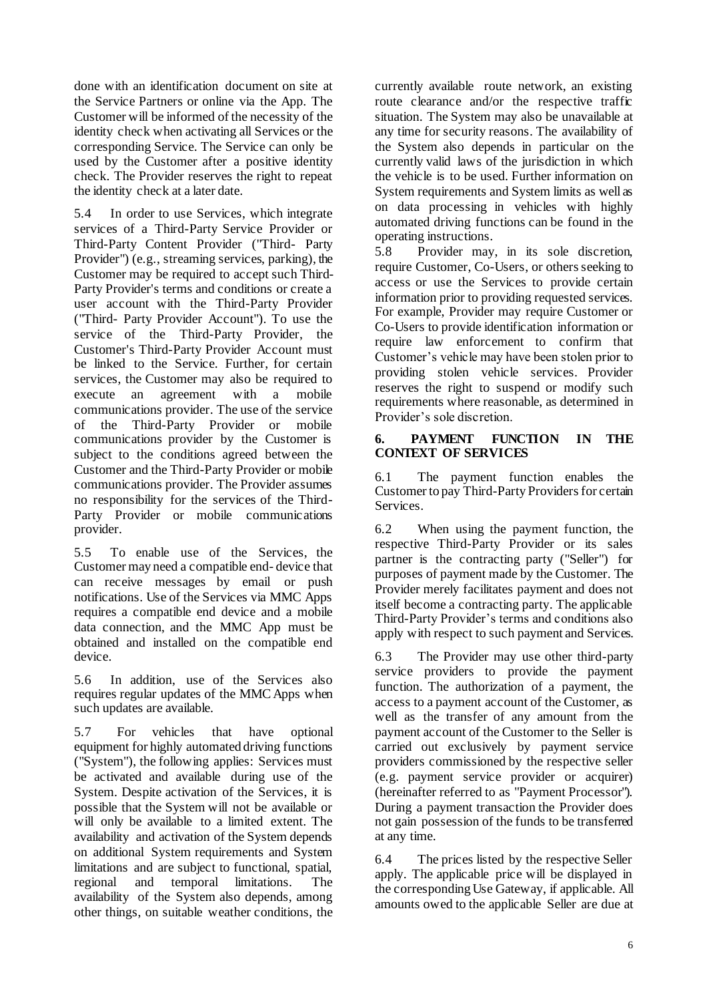done with an identification document on site at the Service Partners or online via the App. The Customer will be informed of the necessity of the identity check when activating all Services or the corresponding Service. The Service can only be used by the Customer after a positive identity check. The Provider reserves the right to repeat the identity check at a later date.

5.4 In order to use Services, which integrate services of a Third-Party Service Provider or Third-Party Content Provider ("Third- Party Provider") (e.g., streaming services, parking), the Customer may be required to accept such Third-Party Provider's terms and conditions or create a user account with the Third-Party Provider ("Third- Party Provider Account"). To use the service of the Third-Party Provider, the Customer's Third-Party Provider Account must be linked to the Service. Further, for certain services, the Customer may also be required to execute an agreement with a mobile communications provider. The use of the service of the Third-Party Provider or mobile communications provider by the Customer is subject to the conditions agreed between the Customer and the Third-Party Provider or mobile communications provider. The Provider assumes no responsibility for the services of the Third-Party Provider or mobile communications provider.

5.5 To enable use of the Services, the Customer may need a compatible end- device that can receive messages by email or push notifications. Use of the Services via MMC Apps requires a compatible end device and a mobile data connection, and the MMC App must be obtained and installed on the compatible end device.

5.6 In addition, use of the Services also requires regular updates of the MMCApps when such updates are available.

5.7 For vehicles that have optional equipment for highly automated driving functions ("System"), the following applies: Services must be activated and available during use of the System. Despite activation of the Services, it is possible that the System will not be available or will only be available to a limited extent. The availability and activation of the System depends on additional System requirements and System limitations and are subject to functional, spatial, regional and temporal limitations. The availability of the System also depends, among other things, on suitable weather conditions, the currently available route network, an existing route clearance and/or the respective traffic situation. The System may also be unavailable at any time for security reasons. The availability of the System also depends in particular on the currently valid laws of the jurisdiction in which the vehicle is to be used. Further information on System requirements and System limits as well as on data processing in vehicles with highly automated driving functions can be found in the operating instructions.

5.8 Provider may, in its sole discretion, require Customer, Co-Users, or others seeking to access or use the Services to provide certain information prior to providing requested services. For example, Provider may require Customer or Co-Users to provide identification information or require law enforcement to confirm that Customer's vehicle may have been stolen prior to providing stolen vehicle services. Provider reserves the right to suspend or modify such requirements where reasonable, as determined in Provider's sole discretion.

### **6. PAYMENT FUNCTION IN THE CONTEXT OF SERVICES**

6.1 The payment function enables the Customer to pay Third-Party Providers for certain Services.

6.2 When using the payment function, the respective Third-Party Provider or its sales partner is the contracting party ("Seller") for purposes of payment made by the Customer. The Provider merely facilitates payment and does not itself become a contracting party. The applicable Third-Party Provider's terms and conditions also apply with respect to such payment and Services.

6.3 The Provider may use other third-party service providers to provide the payment function. The authorization of a payment, the access to a payment account of the Customer, as well as the transfer of any amount from the payment account of the Customer to the Seller is carried out exclusively by payment service providers commissioned by the respective seller (e.g. payment service provider or acquirer) (hereinafter referred to as "Payment Processor"). During a payment transaction the Provider does not gain possession of the funds to be transferred at any time.

6.4 The prices listed by the respective Seller apply. The applicable price will be displayed in the corresponding Use Gateway, if applicable. All amounts owed to the applicable Seller are due at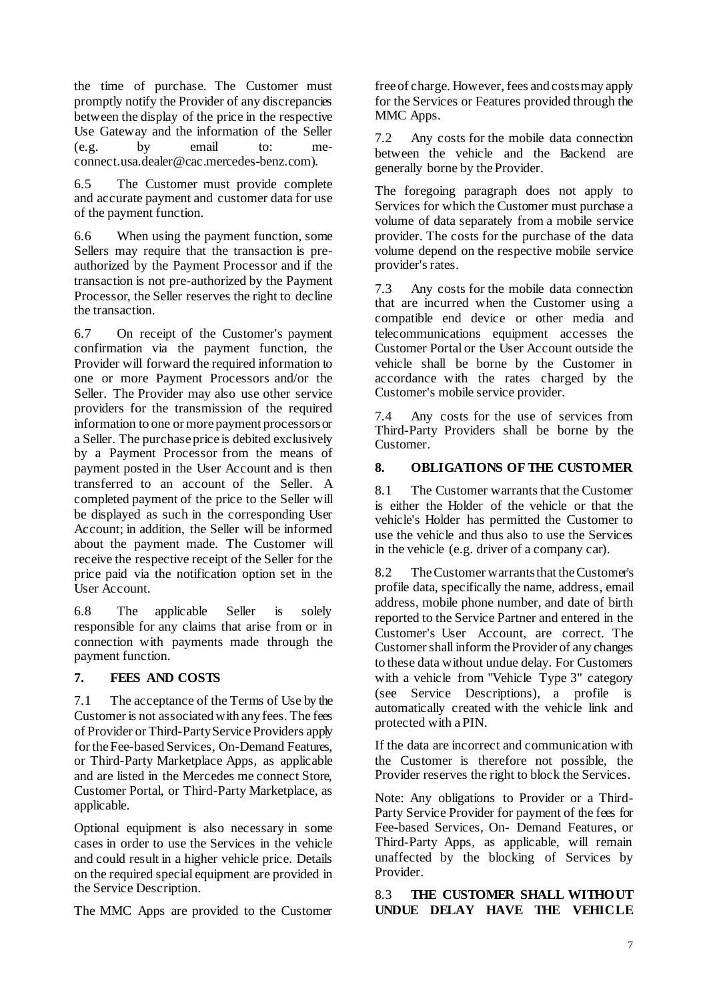the time of purchase. The Customer must promptly notify the Provider of any discrepancies between the display of the price in the respective Use Gateway and the information of the Seller (e.g. by email to: meconnect.usa.dealer@cac.mercedes-benz.com).

6.5 The Customer must provide complete and accurate payment and customer data for use of the payment function.

6.6 When using the payment function, some Sellers may require that the transaction is preauthorized by the Payment Processor and if the transaction is not pre-authorized by the Payment Processor, the Seller reserves the right to decline the transaction.

6.7 On receipt of the Customer's payment confirmation via the payment function, the Provider will forward the required information to one or more Payment Processors and/or the Seller. The Provider may also use other service providers for the transmission of the required information to one or more payment processors or a Seller. The purchase price is debited exclusively by a Payment Processor from the means of payment posted in the User Account and is then transferred to an account of the Seller. A completed payment of the price to the Seller will be displayed as such in the corresponding User Account; in addition, the Seller will be informed about the payment made. The Customer will receive the respective receipt of the Seller for the price paid via the notification option set in the User Account.

6.8 The applicable Seller is solely responsible for any claims that arise from or in connection with payments made through the payment function.

#### **7. FEES AND COSTS**

7.1 The acceptance of the Terms of Use by the Customer is not associated with any fees. The fees of Provider or Third-PartyService Providers apply for the Fee-based Services, On-Demand Features, or Third-Party Marketplace Apps, as applicable and are listed in the Mercedes me connect Store, Customer Portal, or Third-Party Marketplace, as applicable.

Optional equipment is also necessary in some cases in order to use the Services in the vehicle and could result in a higher vehicle price. Details on the required special equipment are provided in the Service Description.

The MMC Apps are provided to the Customer

free of charge. However, fees and costs may apply for the Services or Features provided through the MMC Apps.

7.2 Any costs for the mobile data connection between the vehicle and the Backend are generally borne by the Provider.

The foregoing paragraph does not apply to Services for which the Customer must purchase a volume of data separately from a mobile service provider. The costs for the purchase of the data volume depend on the respective mobile service provider's rates.

7.3 Any costs for the mobile data connection that are incurred when the Customer using a compatible end device or other media and telecommunications equipment accesses the Customer Portal or the User Account outside the vehicle shall be borne by the Customer in accordance with the rates charged by the Customer's mobile service provider.

7.4 Any costs for the use of services from Third-Party Providers shall be borne by the Customer.

### **8. OBLIGATIONS OF THE CUSTOMER**

8.1 The Customer warrants that the Customer is either the Holder of the vehicle or that the vehicle's Holder has permitted the Customer to use the vehicle and thus also to use the Services in the vehicle (e.g. driver of a company car).

8.2 The Customer warrants that the Customer's profile data, specifically the name, address, email address, mobile phone number, and date of birth reported to the Service Partner and entered in the Customer's User Account, are correct. The Customer shall inform theProvider of any changes to these data without undue delay. For Customers with a vehicle from "Vehicle Type 3" category (see Service Descriptions), a profile is automatically created with the vehicle link and protected with a PIN.

If the data are incorrect and communication with the Customer is therefore not possible, the Provider reserves the right to block the Services.

Note: Any obligations to Provider or a Third-Party Service Provider for payment of the fees for Fee-based Services, On- Demand Features, or Third-Party Apps, as applicable, will remain unaffected by the blocking of Services by Provider.

8.3 **THE CUSTOMER SHALL WITHOUT UNDUE DELAY HAVE THE VEHICLE**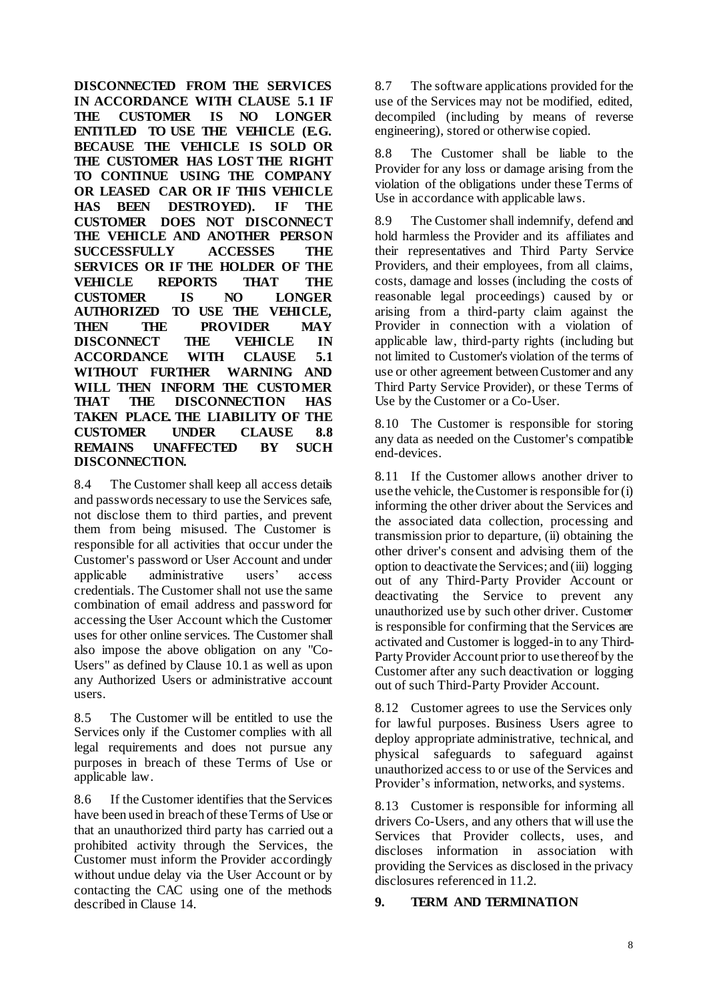**DISCONNECTED FROM THE SERVICES IN ACCORDANCE WITH CLAUSE 5.1 IF THE CUSTOMER IS NO LONGER ENTITLED TO USE THE VEHICLE (E.G. BECAUSE THE VEHICLE IS SOLD OR THE CUSTOMER HAS LOST THE RIGHT TO CONTINUE USING THE COMPANY OR LEASED CAR OR IF THIS VEHICLE HAS BEEN DESTROYED). IF THE CUSTOMER DOES NOT DISCONNECT THE VEHICLE AND ANOTHER PERSON SUCCESSFULLY ACCESSES THE SERVICES OR IF THE HOLDER OF THE VEHICLE REPORTS THAT THE CUSTOMER IS NO LONGER AUTHORIZED TO USE THE VEHICLE, THEN THE PROVIDER MAY DISCONNECT THE VEHICLE IN ACCORDANCE WITH CLAUSE [5.1](#page-4-0) WITHOUT FURTHER WARNING AND WILL THEN INFORM THE CUSTOMER DISCONNECTION TAKEN PLACE. THE LIABILITY OF THE CUSTOMER UNDER CLAUSE [8.8](#page-7-0) REMAINS UNAFFECTED BY SUCH DISCONNECTION.**

8.4 The Customer shall keep all access details and passwords necessary to use the Services safe, not disclose them to third parties, and prevent them from being misused. The Customer is responsible for all activities that occur under the Customer's password or User Account and under applicable administrative users' access credentials. The Customer shall not use the same combination of email address and password for accessing the User Account which the Customer uses for other online services. The Customer shall also impose the above obligation on any "Co-Users" as defined by Clause 10.1 as well as upon any Authorized Users or administrative account users.

8.5 The Customer will be entitled to use the Services only if the Customer complies with all legal requirements and does not pursue any purposes in breach of these Terms of Use or applicable law.

8.6 If the Customer identifies that the Services have been used in breach of theseTerms of Use or that an unauthorized third party has carried out a prohibited activity through the Services, the Customer must inform the Provider accordingly without undue delay via the User Account or by contacting the CAC using one of the methods described in Clause 14.

8.7 The software applications provided for the use of the Services may not be modified, edited, decompiled (including by means of reverse engineering), stored or otherwise copied.

<span id="page-7-0"></span>8.8 The Customer shall be liable to the Provider for any loss or damage arising from the violation of the obligations under these Terms of Use in accordance with applicable laws.

8.9 The Customer shall indemnify, defend and hold harmless the Provider and its affiliates and their representatives and Third Party Service Providers, and their employees, from all claims, costs, damage and losses (including the costs of reasonable legal proceedings) caused by or arising from a third-party claim against the Provider in connection with a violation of applicable law, third-party rights (including but not limited to Customer's violation of the terms of use or other agreement between Customer and any Third Party Service Provider), or these Terms of Use by the Customer or a Co-User.

8.10 The Customer is responsible for storing any data as needed on the Customer's compatible end-devices.

8.11 If the Customer allows another driver to use the vehicle, the Customer is responsible for (i) informing the other driver about the Services and the associated data collection, processing and transmission prior to departure, (ii) obtaining the other driver's consent and advising them of the option to deactivate the Services; and (iii) logging out of any Third-Party Provider Account or deactivating the Service to prevent any unauthorized use by such other driver. Customer is responsible for confirming that the Services are activated and Customer is logged-in to any Third-Party Provider Account prior to use thereof by the Customer after any such deactivation or logging out of such Third-Party Provider Account.

8.12 Customer agrees to use the Services only for lawful purposes. Business Users agree to deploy appropriate administrative, technical, and physical safeguards to safeguard against unauthorized access to or use of the Services and Provider's information, networks, and systems.

8.13 Customer is responsible for informing all drivers Co-Users, and any others that will use the Services that Provider collects, uses, and discloses information in association with providing the Services as disclosed in the privacy disclosures referenced in 11.2.

### **9. TERM AND TERMINATION**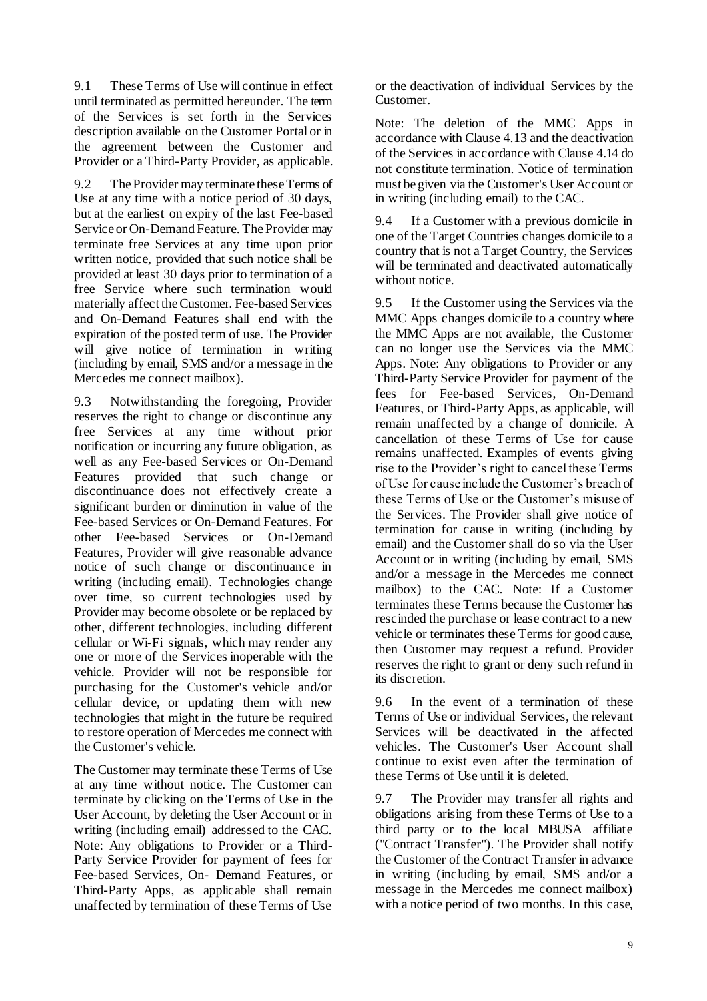9.1 These Terms of Use will continue in effect until terminated as permitted hereunder. The term of the Services is set forth in the Services description available on the Customer Portal or in the agreement between the Customer and Provider or a Third-Party Provider, as applicable.

9.2 The Provider may terminate these Terms of Use at any time with a notice period of 30 days, but at the earliest on expiry of the last Fee-based Service or On-Demand Feature. The Provider may terminate free Services at any time upon prior written notice, provided that such notice shall be provided at least 30 days prior to termination of a free Service where such termination would materially affect the Customer. Fee-based Services and On-Demand Features shall end with the expiration of the posted term of use. The Provider will give notice of termination in writing (including by email, SMS and/or a message in the Mercedes me connect mailbox).

9.3 Notwithstanding the foregoing, Provider reserves the right to change or discontinue any free Services at any time without prior notification or incurring any future obligation, as well as any Fee-based Services or On-Demand Features provided that such change or discontinuance does not effectively create a significant burden or diminution in value of the Fee-based Services or On-Demand Features. For other Fee-based Services or On-Demand Features, Provider will give reasonable advance notice of such change or discontinuance in writing (including email). Technologies change over time, so current technologies used by Provider may become obsolete or be replaced by other, different technologies, including different cellular or Wi-Fi signals, which may render any one or more of the Services inoperable with the vehicle. Provider will not be responsible for purchasing for the Customer's vehicle and/or cellular device, or updating them with new technologies that might in the future be required to restore operation of Mercedes me connect with the Customer's vehicle.

The Customer may terminate these Terms of Use at any time without notice. The Customer can terminate by clicking on the Terms of Use in the User Account, by deleting the User Account or in writing (including email) addressed to the CAC. Note: Any obligations to Provider or a Third-Party Service Provider for payment of fees for Fee-based Services, On- Demand Features, or Third-Party Apps, as applicable shall remain unaffected by termination of these Terms of Use

or the deactivation of individual Services by the Customer.

Note: The deletion of the MMC Apps in accordance with Claus[e 4.1](#page-2-0)3 and the deactivation of the Services in accordance with Claus[e 4.14](#page-2-1) do not constitute termination. Notice of termination must be given via the Customer's User Account or in writing (including email) to the CAC.

9.4 If a Customer with a previous domicile in one of the Target Countries changes domicile to a country that is not a Target Country, the Services will be terminated and deactivated automatically without notice.

9.5 If the Customer using the Services via the MMC Apps changes domicile to a country where the MMC Apps are not available, the Customer can no longer use the Services via the MMC Apps. Note: Any obligations to Provider or any Third-Party Service Provider for payment of the fees for Fee-based Services, On-Demand Features, or Third-Party Apps, as applicable, will remain unaffected by a change of domicile. A cancellation of these Terms of Use for cause remains unaffected. Examples of events giving rise to the Provider's right to cancel these Terms of Use for cause include the Customer's breach of these Terms of Use or the Customer's misuse of the Services. The Provider shall give notice of termination for cause in writing (including by email) and the Customer shall do so via the User Account or in writing (including by email, SMS and/or a message in the Mercedes me connect mailbox) to the CAC. Note: If a Customer terminates these Terms because the Customer has rescinded the purchase or lease contract to a new vehicle or terminates these Terms for good cause, then Customer may request a refund. Provider reserves the right to grant or deny such refund in its discretion.

9.6 In the event of a termination of these Terms of Use or individual Services, the relevant Services will be deactivated in the affected vehicles. The Customer's User Account shall continue to exist even after the termination of these Terms of Use until it is deleted.

9.7 The Provider may transfer all rights and obligations arising from these Terms of Use to a third party or to the local MBUSA affiliate ("Contract Transfer"). The Provider shall notify the Customer of the Contract Transfer in advance in writing (including by email, SMS and/or a message in the Mercedes me connect mailbox) with a notice period of two months. In this case,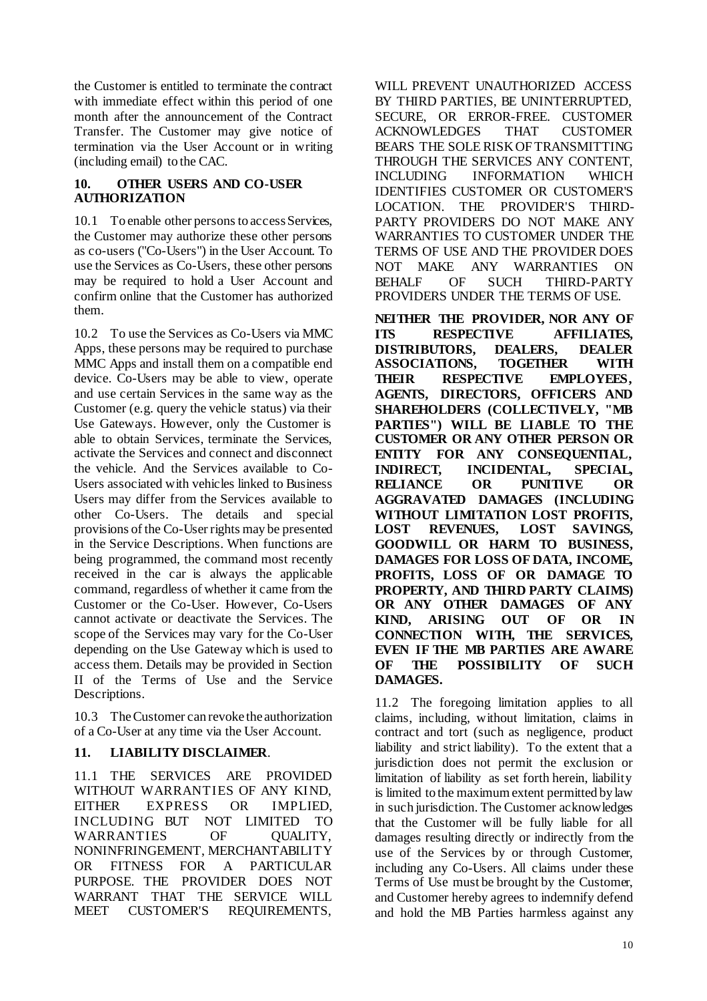the Customer is entitled to terminate the contract with immediate effect within this period of one month after the announcement of the Contract Transfer. The Customer may give notice of termination via the User Account or in writing (including email) to the CAC.

# **10. OTHER USERS AND CO-USER AUTHORIZATION**

10.1 To enable other persons to access Services, the Customer may authorize these other persons as co-users ("Co-Users") in the User Account. To use the Services as Co-Users, these other persons may be required to hold a User Account and confirm online that the Customer has authorized them.

10.2 To use the Services as Co-Users via MMC Apps, these persons may be required to purchase MMC Apps and install them on a compatible end device. Co-Users may be able to view, operate and use certain Services in the same way as the Customer (e.g. query the vehicle status) via their Use Gateways. However, only the Customer is able to obtain Services, terminate the Services, activate the Services and connect and disconnect the vehicle. And the Services available to Co-Users associated with vehicles linked to Business Users may differ from the Services available to other Co-Users. The details and special provisions of the Co-User rights may be presented in the Service Descriptions. When functions are being programmed, the command most recently received in the car is always the applicable command, regardless of whether it came from the Customer or the Co-User. However, Co-Users cannot activate or deactivate the Services. The scope of the Services may vary for the Co-User depending on the Use Gateway which is used to access them. Details may be provided in Section II of the Terms of Use and the Service Descriptions.

10.3 The Customer can revoke the authorization of a Co-User at any time via the User Account.

# **11. LIABILITY DISCLAIMER**.

11.1 THE SERVICES ARE PROVIDED WITHOUT WARRANTIES OF ANY KIND, EITHER EXPRESS OR IMPLIED, INCLUDING BUT NOT LIMITED TO WARRANTIES OF QUALITY, NONINFRINGEMENT, MERCHANTABILITY OR FITNESS FOR A PARTICULAR PURPOSE. THE PROVIDER DOES NOT WARRANT THAT THE SERVICE WILL MEET CUSTOMER'S REQUIREMENTS,

WILL PREVENT UNAUTHORIZED ACCESS BY THIRD PARTIES, BE UNINTERRUPTED, SECURE, OR ERROR-FREE. CUSTOMER ACKNOWLEDGES THAT CUSTOMER BEARS THE SOLE RISK OF TRANSMITTING THROUGH THE SERVICES ANY CONTENT, INCLUDING INFORMATION WHICH IDENTIFIES CUSTOMER OR CUSTOMER'S LOCATION. THE PROVIDER'S THIRD-PARTY PROVIDERS DO NOT MAKE ANY WARRANTIES TO CUSTOMER UNDER THE TERMS OF USE AND THE PROVIDER DOES NOT MAKE ANY WARRANTIES ON BEHALF OF SUCH THIRD-PARTY PROVIDERS UNDER THE TERMS OF USE.

**NEITHER THE PROVIDER, NOR ANY OF ITS RESPECTIVE AFFILIATES, DISTRIBUTORS, DEALERS, DEALER ASSOCIATIONS, TOGETHER WITH THEIR RESPECTIVE EMPLOYEES, AGENTS, DIRECTORS, OFFICERS AND SHAREHOLDERS (COLLECTIVELY, "MB PARTIES") WILL BE LIABLE TO THE CUSTOMER OR ANY OTHER PERSON OR ENTITY FOR ANY CONSEQUENTIAL, INDIRECT, INCIDENTAL, SPECIAL, RELIANCE OR PUNITIVE OR AGGRAVATED DAMAGES (INCLUDING WITHOUT LIMITATION LOST PROFITS, LOST REVENUES, LOST SAVINGS, GOODWILL OR HARM TO BUSINESS, DAMAGES FOR LOSS OF DATA, INCOME, PROFITS, LOSS OF OR DAMAGE TO PROPERTY, AND THIRD PARTY CLAIMS) OR ANY OTHER DAMAGES OF ANY KIND, ARISING OUT OF OR IN CONNECTION WITH, THE SERVICES, EVEN IF THE MB PARTIES ARE AWARE OF THE POSSIBILITY OF SUCH DAMAGES.**

11.2 The foregoing limitation applies to all claims, including, without limitation, claims in contract and tort (such as negligence, product liability and strict liability). To the extent that a jurisdiction does not permit the exclusion or limitation of liability as set forth herein, liability is limited to the maximum extent permitted by law in such jurisdiction. The Customer acknowledges that the Customer will be fully liable for all damages resulting directly or indirectly from the use of the Services by or through Customer, including any Co-Users. All claims under these Terms of Use must be brought by the Customer, and Customer hereby agrees to indemnify defend and hold the MB Parties harmless against any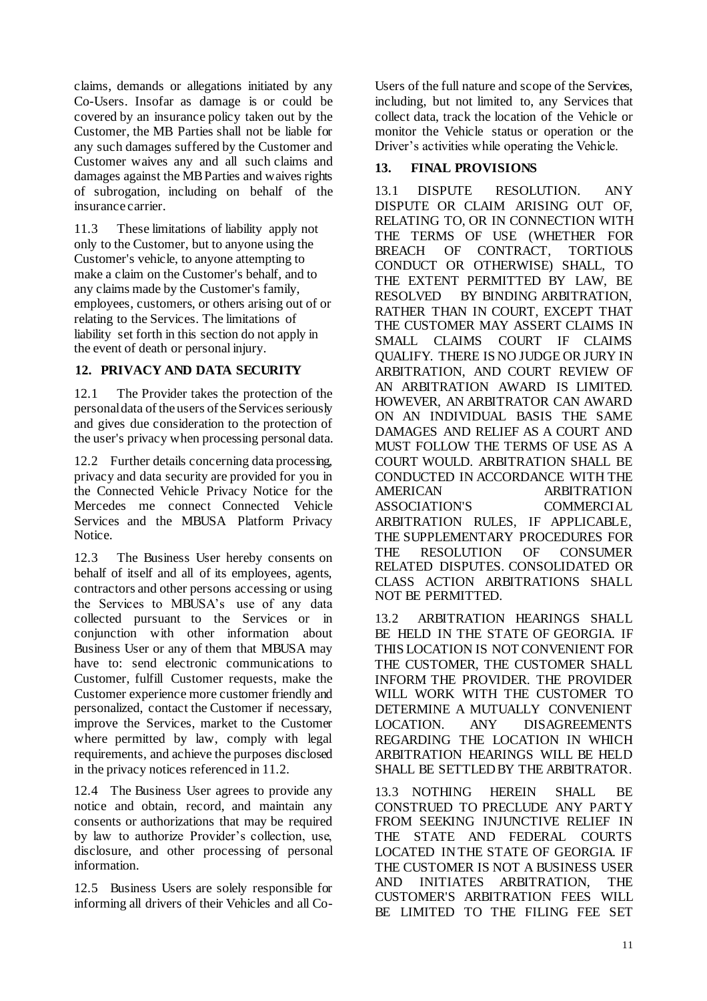claims, demands or allegations initiated by any Co-Users. Insofar as damage is or could be covered by an insurance policy taken out by the Customer, the MB Parties shall not be liable for any such damages suffered by the Customer and Customer waives any and all such claims and damages against the MB Parties and waives rights of subrogation, including on behalf of the insurance carrier.

11.3 These limitations of liability apply not only to the Customer, but to anyone using the Customer's vehicle, to anyone attempting to make a claim on the Customer's behalf, and to any claims made by the Customer's family, employees, customers, or others arising out of or relating to the Services. The limitations of liability set forth in this section do not apply in the event of death or personal injury.

### **12. PRIVACY AND DATA SECURITY**

12.1 The Provider takes the protection of the personal data of the users of the Services seriously and gives due consideration to the protection of the user's privacy when processing personal data.

12.2 Further details concerning data processing, privacy and data security are provided for you in the Connected Vehicle Privacy Notice for the Mercedes me connect Connected Vehicle Services and the MBUSA Platform Privacy Notice.

12.3 The Business User hereby consents on behalf of itself and all of its employees, agents, contractors and other persons accessing or using the Services to MBUSA's use of any data collected pursuant to the Services or in conjunction with other information about Business User or any of them that MBUSA may have to: send electronic communications to Customer, fulfill Customer requests, make the Customer experience more customer friendly and personalized, contact the Customer if necessary, improve the Services, market to the Customer where permitted by law, comply with legal requirements, and achieve the purposes disclosed in the privacy notices referenced in 11.2.

12.4 The Business User agrees to provide any notice and obtain, record, and maintain any consents or authorizations that may be required by law to authorize Provider's collection, use, disclosure, and other processing of personal information.

12.5 Business Users are solely responsible for informing all drivers of their Vehicles and all CoUsers of the full nature and scope of the Services, including, but not limited to, any Services that collect data, track the location of the Vehicle or monitor the Vehicle status or operation or the Driver's activities while operating the Vehicle.

# **13. FINAL PROVISIONS**

13.1 DISPUTE RESOLUTION. ANY DISPUTE OR CLAIM ARISING OUT OF, RELATING TO, OR IN CONNECTION WITH THE TERMS OF USE (WHETHER FOR BREACH OF CONTRACT, TORTIOUS CONDUCT OR OTHERWISE) SHALL, TO THE EXTENT PERMITTED BY LAW, BE RESOLVED BY BINDING ARBITRATION, RATHER THAN IN COURT, EXCEPT THAT THE CUSTOMER MAY ASSERT CLAIMS IN SMALL CLAIMS COURT IF CLAIMS QUALIFY. THERE IS NO JUDGE OR JURY IN ARBITRATION, AND COURT REVIEW OF AN ARBITRATION AWARD IS LIMITED. HOWEVER, AN ARBITRATOR CAN AWARD ON AN INDIVIDUAL BASIS THE SAME DAMAGES AND RELIEF AS A COURT AND MUST FOLLOW THE TERMS OF USE AS A COURT WOULD. ARBITRATION SHALL BE CONDUCTED IN ACCORDANCE WITH THE AMERICAN ARBITRATION ASSOCIATION'S COMMERCIAL ARBITRATION RULES, IF APPLICABLE, THE SUPPLEMENTARY PROCEDURES FOR<br>THE RESOLUTION OF CONSUMER THE RESOLUTION OF RELATED DISPUTES. CONSOLIDATED OR CLASS ACTION ARBITRATIONS SHALL NOT BE PERMITTED.

13.2 ARBITRATION HEARINGS SHALL BE HELD IN THE STATE OF GEORGIA. IF THIS LOCATION IS NOT CONVENIENT FOR THE CUSTOMER, THE CUSTOMER SHALL INFORM THE PROVIDER. THE PROVIDER WILL WORK WITH THE CUSTOMER TO DETERMINE A MUTUALLY CONVENIENT LOCATION. ANY DISAGREEMENTS REGARDING THE LOCATION IN WHICH ARBITRATION HEARINGS WILL BE HELD SHALL BE SETTLED BY THE ARBITRATOR.

13.3 NOTHING HEREIN SHALL BE CONSTRUED TO PRECLUDE ANY PARTY FROM SEEKING INJUNCTIVE RELIEF IN THE STATE AND FEDERAL COURTS LOCATED IN THE STATE OF GEORGIA. IF THE CUSTOMER IS NOT A BUSINESS USER AND INITIATES ARBITRATION, THE CUSTOMER'S ARBITRATION FEES WILL BE LIMITED TO THE FILING FEE SET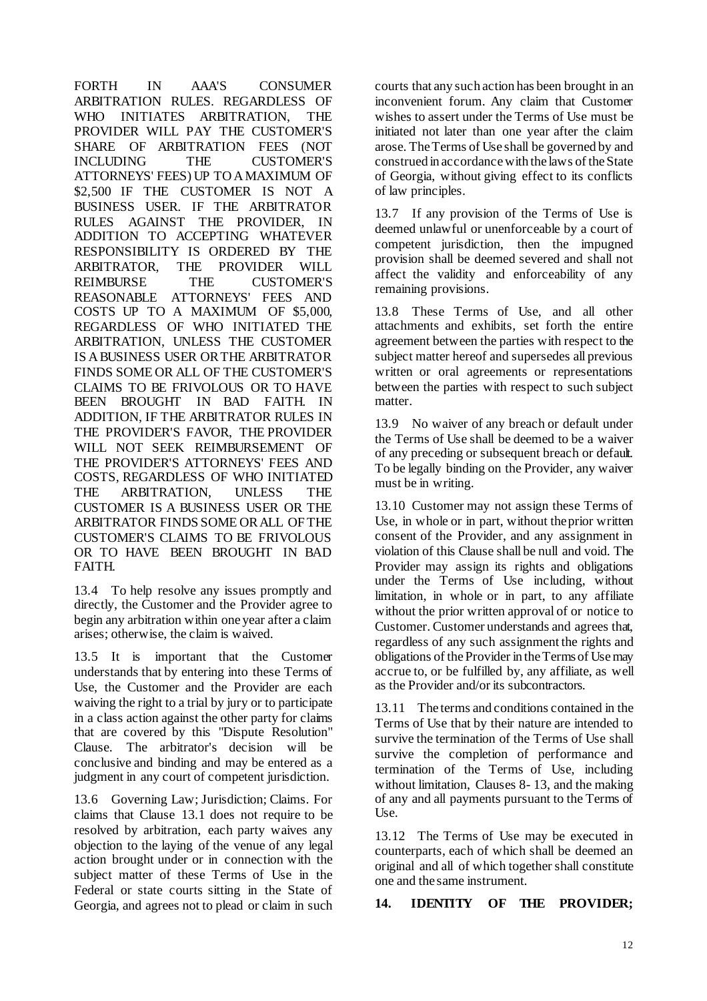FORTH IN AAA'S CONSUMER ARBITRATION RULES. REGARDLESS OF WHO INITIATES ARBITRATION, THE PROVIDER WILL PAY THE CUSTOMER'S SHARE OF ARBITRATION FEES (NOT INCLUDING THE CUSTOMER'S ATTORNEYS' FEES) UP TO A MAXIMUM OF \$2,500 IF THE CUSTOMER IS NOT A BUSINESS USER. IF THE ARBITRATOR RULES AGAINST THE PROVIDER, IN ADDITION TO ACCEPTING WHATEVER RESPONSIBILITY IS ORDERED BY THE ARBITRATOR, THE PROVIDER WILL REIMBURSE THE CUSTOMER'S REASONABLE ATTORNEYS' FEES AND COSTS UP TO A MAXIMUM OF \$5,000, REGARDLESS OF WHO INITIATED THE ARBITRATION, UNLESS THE CUSTOMER IS A BUSINESS USER OR THE ARBITRATOR FINDS SOME OR ALL OF THE CUSTOMER'S CLAIMS TO BE FRIVOLOUS OR TO HAVE BEEN BROUGHT IN BAD FAITH. IN ADDITION, IF THE ARBITRATOR RULES IN THE PROVIDER'S FAVOR, THE PROVIDER WILL NOT SEEK REIMBURSEMENT OF THE PROVIDER'S ATTORNEYS' FEES AND COSTS, REGARDLESS OF WHO INITIATED THE ARBITRATION, UNLESS THE CUSTOMER IS A BUSINESS USER OR THE ARBITRATOR FINDS SOME OR ALL OF THE CUSTOMER'S CLAIMS TO BE FRIVOLOUS OR TO HAVE BEEN BROUGHT IN BAD FAITH.

13.4 To help resolve any issues promptly and directly, the Customer and the Provider agree to begin any arbitration within one year after a claim arises; otherwise, the claim is waived.

13.5 It is important that the Customer understands that by entering into these Terms of Use, the Customer and the Provider are each waiving the right to a trial by jury or to participate in a class action against the other party for claims that are covered by this "Dispute Resolution" Clause. The arbitrator's decision will be conclusive and binding and may be entered as a judgment in any court of competent jurisdiction.

13.6 Governing Law; Jurisdiction; Claims. For claims that Clause 13.1 does not require to be resolved by arbitration, each party waives any objection to the laying of the venue of any legal action brought under or in connection with the subject matter of these Terms of Use in the Federal or state courts sitting in the State of Georgia, and agrees not to plead or claim in such

courts that any such action has been brought in an inconvenient forum. Any claim that Customer wishes to assert under the Terms of Use must be initiated not later than one year after the claim arose. The Terms of Use shall be governed by and construed in accordance with the laws of the State of Georgia, without giving effect to its conflicts of law principles.

13.7 If any provision of the Terms of Use is deemed unlawful or unenforceable by a court of competent jurisdiction, then the impugned provision shall be deemed severed and shall not affect the validity and enforceability of any remaining provisions.

13.8 These Terms of Use, and all other attachments and exhibits, set forth the entire agreement between the parties with respect to the subject matter hereof and supersedes all previous written or oral agreements or representations between the parties with respect to such subject matter.

13.9 No waiver of any breach or default under the Terms of Use shall be deemed to be a waiver of any preceding or subsequent breach or default. To be legally binding on the Provider, any waiver must be in writing.

13.10 Customer may not assign these Terms of Use, in whole or in part, without theprior written consent of the Provider, and any assignment in violation of this Clause shall be null and void. The Provider may assign its rights and obligations under the Terms of Use including, without limitation, in whole or in part, to any affiliate without the prior written approval of or notice to Customer. Customer understands and agrees that, regardless of any such assignment the rights and obligations of theProvider in theTermsof Use may accrue to, or be fulfilled by, any affiliate, as well as the Provider and/or its subcontractors.

13.11 The terms and conditions contained in the Terms of Use that by their nature are intended to survive the termination of the Terms of Use shall survive the completion of performance and termination of the Terms of Use, including without limitation, Clauses 8- 13, and the making of any and all payments pursuant to the Terms of Use.

13.12 The Terms of Use may be executed in counterparts, each of which shall be deemed an original and all of which together shall constitute one and the same instrument.

#### **14. IDENTITY OF THE PROVIDER;**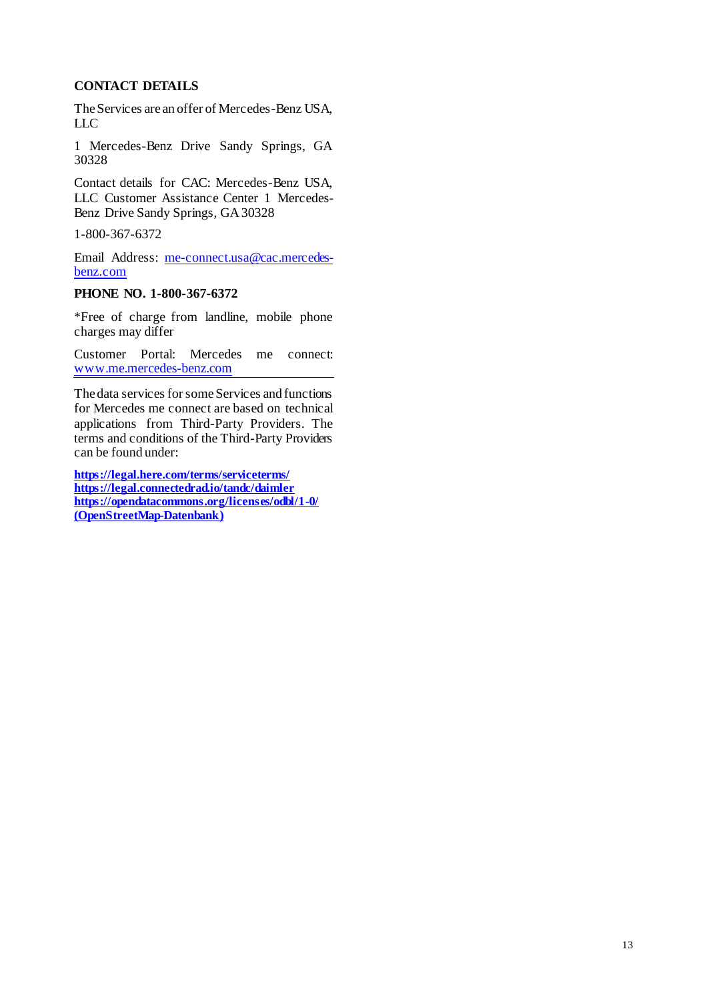# **CONTACT DETAILS**

The Services are an offer of Mercedes-Benz USA, LLC

1 Mercedes-Benz Drive Sandy Springs, GA 30328

Contact details for CAC: Mercedes-Benz USA, LLC Customer Assistance Center 1 Mercedes-Benz Drive Sandy Springs, GA 30328

1-800-367-6372

Email Address: [me-connect.usa@cac.mercedes](mailto:me-connect.usa@cac.mercedes-benz.com)[benz.com](mailto:me-connect.usa@cac.mercedes-benz.com)

#### **PHONE NO. 1-800-367-6372**

\*Free of charge from landline, mobile phone charges may differ

Customer Portal: Mercedes me connect: [www.me.mercedes-benz.com](http://www.me.mercedes-benz.com/)

The data services for some Services and functions for Mercedes me connect are based on technical applications from Third-Party Providers. The terms and conditions of the Third-Party Providers can be found under:

**<https://legal.here.com/terms/serviceterms/> <https://legal.connectedrad.io/tandc/daimler> <https://opendatacommons.org/licenses/odbl/1-0/> [\(OpenStreetMap-Datenbank\)](https://www.openstreetmap.org/copyright)**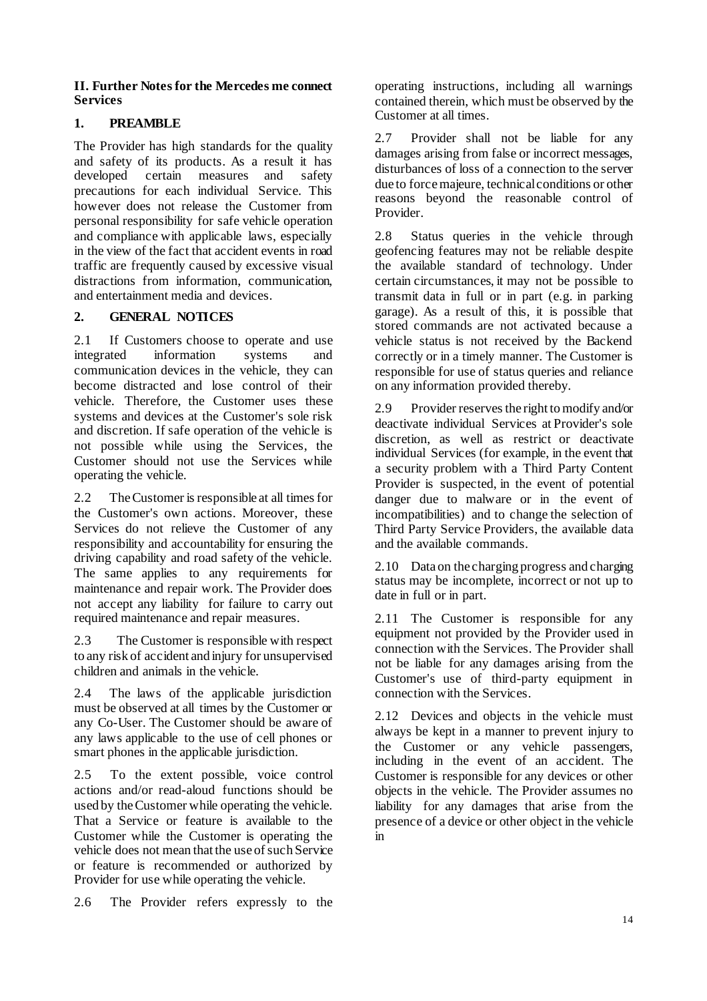### **II. Further Notes for the Mercedes me connect Services**

# **1. PREAMBLE**

The Provider has high standards for the quality and safety of its products. As a result it has<br>developed certain measures and safety developed certain measures and precautions for each individual Service. This however does not release the Customer from personal responsibility for safe vehicle operation and compliance with applicable laws, especially in the view of the fact that accident events in road traffic are frequently caused by excessive visual distractions from information, communication, and entertainment media and devices.

# **2. GENERAL NOTICES**

2.1 If Customers choose to operate and use integrated information systems and communication devices in the vehicle, they can become distracted and lose control of their vehicle. Therefore, the Customer uses these systems and devices at the Customer's sole risk and discretion. If safe operation of the vehicle is not possible while using the Services, the Customer should not use the Services while operating the vehicle.

2.2 The Customer is responsible at all times for the Customer's own actions. Moreover, these Services do not relieve the Customer of any responsibility and accountability for ensuring the driving capability and road safety of the vehicle. The same applies to any requirements for maintenance and repair work. The Provider does not accept any liability for failure to carry out required maintenance and repair measures.

2.3 The Customer is responsible with respect to any risk of accident and injury for unsupervised children and animals in the vehicle.

2.4 The laws of the applicable jurisdiction must be observed at all times by the Customer or any Co-User. The Customer should be aware of any laws applicable to the use of cell phones or smart phones in the applicable jurisdiction.

2.5 To the extent possible, voice control actions and/or read-aloud functions should be used by the Customer while operating the vehicle. That a Service or feature is available to the Customer while the Customer is operating the vehicle does not mean that the use of such Service or feature is recommended or authorized by Provider for use while operating the vehicle.

2.6 The Provider refers expressly to the

operating instructions, including all warnings contained therein, which must be observed by the Customer at all times.

2.7 Provider shall not be liable for any damages arising from false or incorrect messages, disturbances of loss of a connection to the server due to force majeure, technical conditions or other reasons beyond the reasonable control of Provider.

2.8 Status queries in the vehicle through geofencing features may not be reliable despite the available standard of technology. Under certain circumstances, it may not be possible to transmit data in full or in part (e.g. in parking garage). As a result of this, it is possible that stored commands are not activated because a vehicle status is not received by the Backend correctly or in a timely manner. The Customer is responsible for use of status queries and reliance on any information provided thereby.

2.9 Provider reserves the right to modify and/or deactivate individual Services at Provider's sole discretion, as well as restrict or deactivate individual Services (for example, in the event that a security problem with a Third Party Content Provider is suspected, in the event of potential danger due to malware or in the event of incompatibilities) and to change the selection of Third Party Service Providers, the available data and the available commands.

2.10 Data on the charging progress and charging status may be incomplete, incorrect or not up to date in full or in part.

2.11 The Customer is responsible for any equipment not provided by the Provider used in connection with the Services. The Provider shall not be liable for any damages arising from the Customer's use of third-party equipment in connection with the Services.

2.12 Devices and objects in the vehicle must always be kept in a manner to prevent injury to the Customer or any vehicle passengers, including in the event of an accident. The Customer is responsible for any devices or other objects in the vehicle. The Provider assumes no liability for any damages that arise from the presence of a device or other object in the vehicle in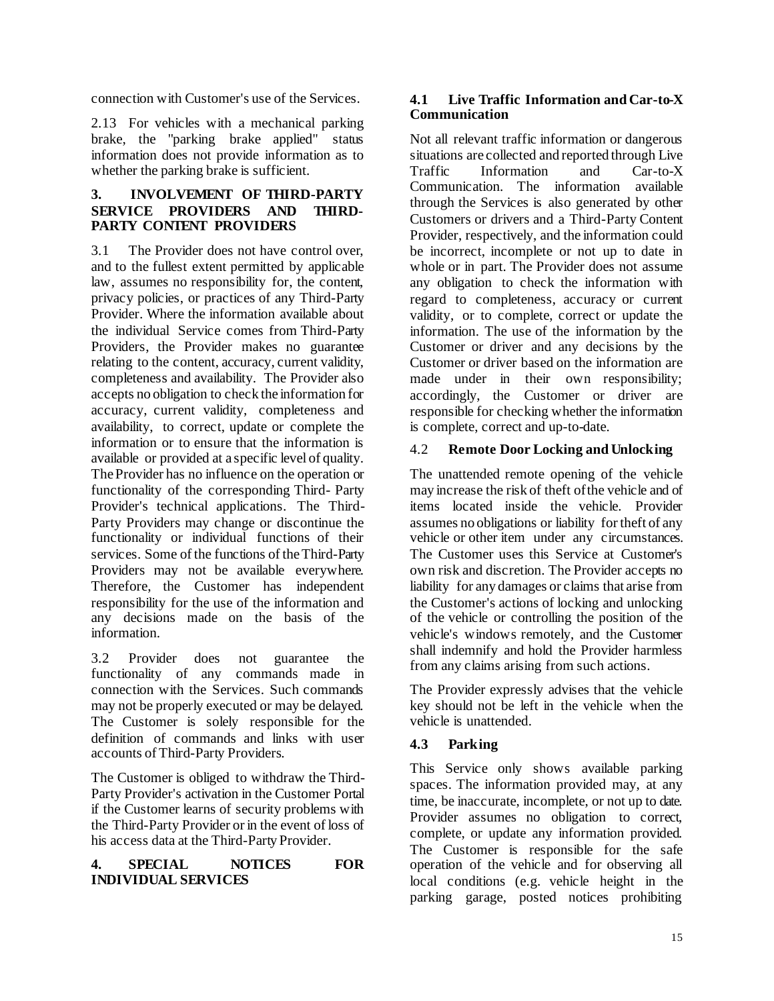connection with Customer's use of the Services.

2.13 For vehicles with a mechanical parking brake, the "parking brake applied" status information does not provide information as to whether the parking brake is sufficient.

### **3. INVOLVEMENT OF THIRD-PARTY SERVICE PROVIDERS AND THIRD-PARTY CONTENT PROVIDERS**

3.1 The Provider does not have control over, and to the fullest extent permitted by applicable law, assumes no responsibility for, the content, privacy policies, or practices of any Third-Party Provider. Where the information available about the individual Service comes from Third-Party Providers, the Provider makes no guarantee relating to the content, accuracy, current validity, completeness and availability. The Provider also accepts no obligation to check the information for accuracy, current validity, completeness and availability, to correct, update or complete the information or to ensure that the information is available or provided at a specific level of quality. TheProvider has no influence on the operation or functionality of the corresponding Third- Party Provider's technical applications. The Third-Party Providers may change or discontinue the functionality or individual functions of their services. Some of the functions of theThird-Party Providers may not be available everywhere. Therefore, the Customer has independent responsibility for the use of the information and any decisions made on the basis of the information.

3.2 Provider does not guarantee the functionality of any commands made in connection with the Services. Such commands may not be properly executed or may be delayed. The Customer is solely responsible for the definition of commands and links with user accounts of Third-Party Providers.

The Customer is obliged to withdraw the Third-Party Provider's activation in the Customer Portal if the Customer learns of security problems with the Third-Party Provider or in the event of loss of his access data at the Third-Party Provider.

## **4. SPECIAL NOTICES FOR INDIVIDUAL SERVICES**

# **4.1 Live Traffic Information and Car-to-X Communication**

Not all relevant traffic information or dangerous situations are collected and reported through Live Traffic Information and Car-to-X Communication. The information available through the Services is also generated by other Customers or drivers and a Third-Party Content Provider, respectively, and the information could be incorrect, incomplete or not up to date in whole or in part. The Provider does not assume any obligation to check the information with regard to completeness, accuracy or current validity, or to complete, correct or update the information. The use of the information by the Customer or driver and any decisions by the Customer or driver based on the information are made under in their own responsibility; accordingly, the Customer or driver are responsible for checking whether the information is complete, correct and up-to-date.

# 4.2 **Remote Door Locking and Unlocking**

The unattended remote opening of the vehicle may increase the risk of theft ofthe vehicle and of items located inside the vehicle. Provider assumes no obligations or liability for theft of any vehicle or other item under any circumstances. The Customer uses this Service at Customer's own risk and discretion. The Provider accepts no liability for any damages or claims that arise from the Customer's actions of locking and unlocking of the vehicle or controlling the position of the vehicle's windows remotely, and the Customer shall indemnify and hold the Provider harmless from any claims arising from such actions.

The Provider expressly advises that the vehicle key should not be left in the vehicle when the vehicle is unattended.

# **4.3 Parking**

This Service only shows available parking spaces. The information provided may, at any time, be inaccurate, incomplete, or not up to date. Provider assumes no obligation to correct, complete, or update any information provided. The Customer is responsible for the safe operation of the vehicle and for observing all local conditions (e.g. vehicle height in the parking garage, posted notices prohibiting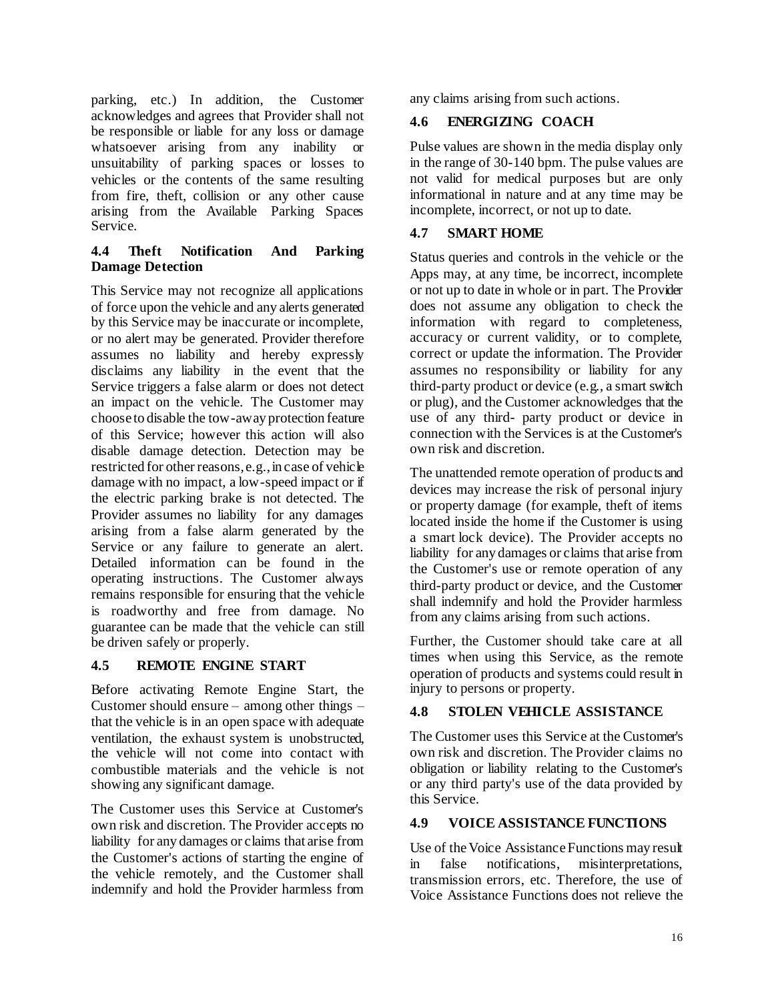parking, etc.) In addition, the Customer acknowledges and agrees that Provider shall not be responsible or liable for any loss or damage whatsoever arising from any inability or unsuitability of parking spaces or losses to vehicles or the contents of the same resulting from fire, theft, collision or any other cause arising from the Available Parking Spaces Service.

#### **4.4 Theft Notification And Parking Damage Detection**

This Service may not recognize all applications of force upon the vehicle and any alerts generated by this Service may be inaccurate or incomplete, or no alert may be generated. Provider therefore assumes no liability and hereby expressly disclaims any liability in the event that the Service triggers a false alarm or does not detect an impact on the vehicle. The Customer may choose to disable the tow-away protection feature of this Service; however this action will also disable damage detection. Detection may be restricted for other reasons, e.g., in case of vehicle damage with no impact, a low-speed impact or if the electric parking brake is not detected. The Provider assumes no liability for any damages arising from a false alarm generated by the Service or any failure to generate an alert. Detailed information can be found in the operating instructions. The Customer always remains responsible for ensuring that the vehicle is roadworthy and free from damage. No guarantee can be made that the vehicle can still be driven safely or properly.

# **4.5 REMOTE ENGINE START**

Before activating Remote Engine Start, the Customer should ensure – among other things – that the vehicle is in an open space with adequate ventilation, the exhaust system is unobstructed, the vehicle will not come into contact with combustible materials and the vehicle is not showing any significant damage.

The Customer uses this Service at Customer's own risk and discretion. The Provider accepts no liability for any damages or claims that arise from the Customer's actions of starting the engine of the vehicle remotely, and the Customer shall indemnify and hold the Provider harmless from any claims arising from such actions.

# **4.6 ENERGIZING COACH**

Pulse values are shown in the media display only in the range of 30-140 bpm. The pulse values are not valid for medical purposes but are only informational in nature and at any time may be incomplete, incorrect, or not up to date.

# **4.7 SMART HOME**

Status queries and controls in the vehicle or the Apps may, at any time, be incorrect, incomplete or not up to date in whole or in part. The Provider does not assume any obligation to check the information with regard to completeness, accuracy or current validity, or to complete, correct or update the information. The Provider assumes no responsibility or liability for any third-party product or device (e.g., a smart switch or plug), and the Customer acknowledges that the use of any third- party product or device in connection with the Services is at the Customer's own risk and discretion.

The unattended remote operation of products and devices may increase the risk of personal injury or property damage (for example, theft of items located inside the home if the Customer is using a smart lock device). The Provider accepts no liability for any damages or claims that arise from the Customer's use or remote operation of any third-party product or device, and the Customer shall indemnify and hold the Provider harmless from any claims arising from such actions.

Further, the Customer should take care at all times when using this Service, as the remote operation of products and systems could result in injury to persons or property.

# **4.8 STOLEN VEHICLE ASSISTANCE**

The Customer uses this Service at the Customer's own risk and discretion. The Provider claims no obligation or liability relating to the Customer's or any third party's use of the data provided by this Service.

# **4.9 VOICE ASSISTANCE FUNCTIONS**

Use of the Voice Assistance Functions may result in false notifications, misinterpretations, transmission errors, etc. Therefore, the use of Voice Assistance Functions does not relieve the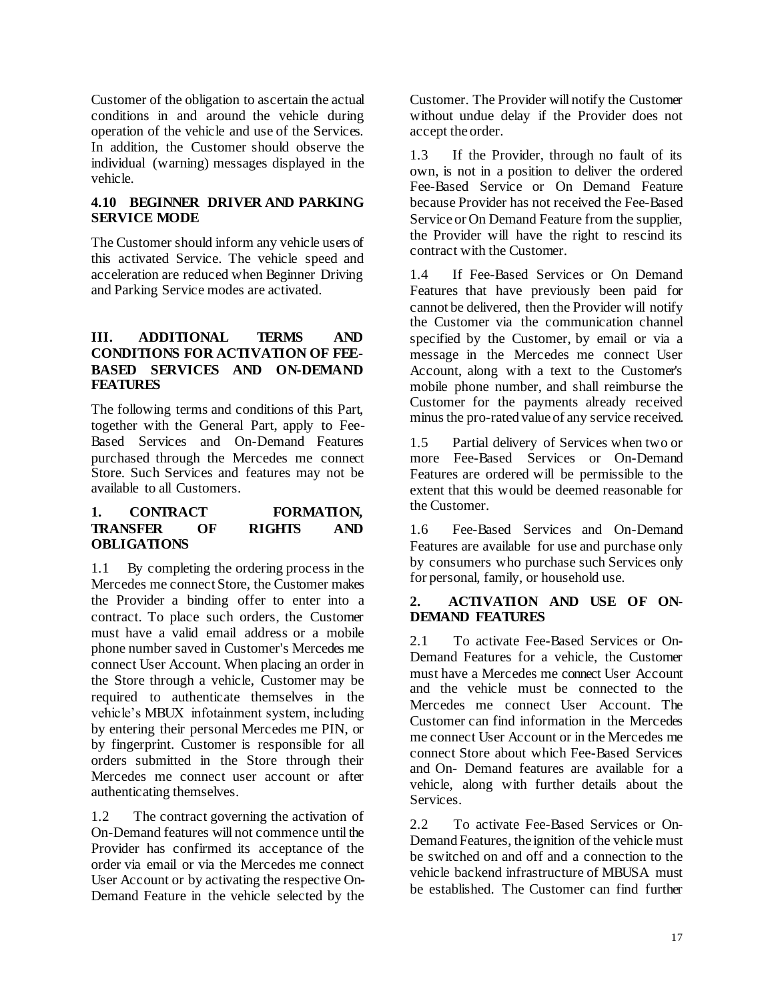Customer of the obligation to ascertain the actual conditions in and around the vehicle during operation of the vehicle and use of the Services. In addition, the Customer should observe the individual (warning) messages displayed in the vehicle.

### **4.10 BEGINNER DRIVER AND PARKING SERVICE MODE**

The Customer should inform any vehicle users of this activated Service. The vehicle speed and acceleration are reduced when Beginner Driving and Parking Service modes are activated.

## **III. ADDITIONAL TERMS AND CONDITIONS FOR ACTIVATION OF FEE-BASED SERVICES AND ON-DEMAND FEATURES**

The following terms and conditions of this Part, together with the General Part, apply to Fee-Based Services and On-Demand Features purchased through the Mercedes me connect Store. Such Services and features may not be available to all Customers.

#### **1. CONTRACT FORMATION, TRANSFER OF RIGHTS AND OBLIGATIONS**

1.1 By completing the ordering process in the Mercedes me connect Store, the Customer makes the Provider a binding offer to enter into a contract. To place such orders, the Customer must have a valid email address or a mobile phone number saved in Customer's Mercedes me connect User Account. When placing an order in the Store through a vehicle, Customer may be required to authenticate themselves in the vehicle's MBUX infotainment system, including by entering their personal Mercedes me PIN, or by fingerprint. Customer is responsible for all orders submitted in the Store through their Mercedes me connect user account or after authenticating themselves.

1.2 The contract governing the activation of On-Demand features will not commence until the Provider has confirmed its acceptance of the order via email or via the Mercedes me connect User Account or by activating the respective On-Demand Feature in the vehicle selected by the

Customer. The Provider will notify the Customer without undue delay if the Provider does not accept the order.

1.3 If the Provider, through no fault of its own, is not in a position to deliver the ordered Fee-Based Service or On Demand Feature because Provider has not received the Fee-Based Service or On Demand Feature from the supplier, the Provider will have the right to rescind its contract with the Customer.

1.4 If Fee-Based Services or On Demand Features that have previously been paid for cannot be delivered, then the Provider will notify the Customer via the communication channel specified by the Customer, by email or via a message in the Mercedes me connect User Account, along with a text to the Customer's mobile phone number, and shall reimburse the Customer for the payments already received minusthe pro-rated value of any service received.

1.5 Partial delivery of Services when two or more Fee-Based Services or On-Demand Features are ordered will be permissible to the extent that this would be deemed reasonable for the Customer.

1.6 Fee-Based Services and On-Demand Features are available for use and purchase only by consumers who purchase such Services only for personal, family, or household use.

#### **2. ACTIVATION AND USE OF ON-DEMAND FEATURES**

2.1 To activate Fee-Based Services or On-Demand Features for a vehicle, the Customer must have a Mercedes me connect User Account and the vehicle must be connected to the Mercedes me connect User Account. The Customer can find information in the Mercedes me connect User Account or in the Mercedes me connect Store about which Fee-Based Services and On- Demand features are available for a vehicle, along with further details about the Services.

2.2 To activate Fee-Based Services or On-Demand Features, the ignition of the vehicle must be switched on and off and a connection to the vehicle backend infrastructure of MBUSA must be established. The Customer can find further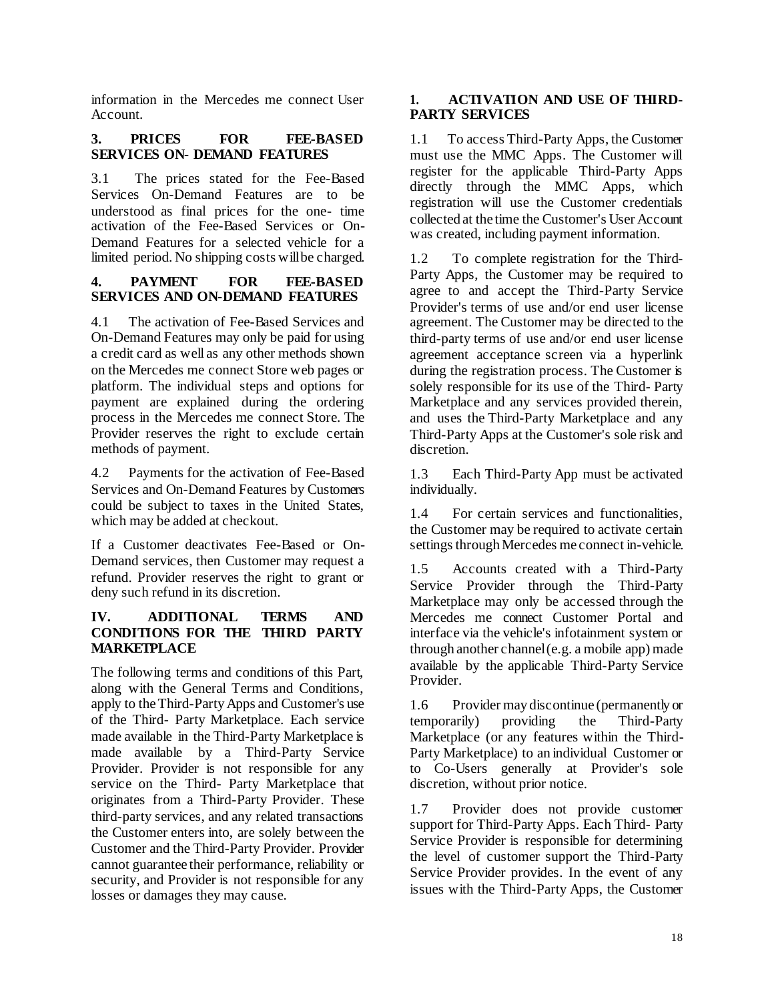information in the Mercedes me connect User Account.

### **3. PRICES FOR FEE-BASED SERVICES ON- DEMAND FEATURES**

3.1 The prices stated for the Fee-Based Services On-Demand Features are to be understood as final prices for the one- time activation of the Fee-Based Services or On-Demand Features for a selected vehicle for a limited period. No shipping costs will be charged.

# **4. PAYMENT FOR FEE-BASED SERVICES AND ON-DEMAND FEATURES**

4.1 The activation of Fee-Based Services and On-Demand Features may only be paid for using a credit card as well as any other methods shown on the Mercedes me connect Store web pages or platform. The individual steps and options for payment are explained during the ordering process in the Mercedes me connect Store. The Provider reserves the right to exclude certain methods of payment.

4.2 Payments for the activation of Fee-Based Services and On-Demand Features by Customers could be subject to taxes in the United States, which may be added at checkout.

If a Customer deactivates Fee-Based or On-Demand services, then Customer may request a refund. Provider reserves the right to grant or deny such refund in its discretion.

## **IV. ADDITIONAL TERMS AND CONDITIONS FOR THE THIRD PARTY MARKETPLACE**

The following terms and conditions of this Part, along with the General Terms and Conditions, apply to the Third-Party Apps and Customer's use of the Third- Party Marketplace. Each service made available in the Third-Party Marketplace is made available by a Third-Party Service Provider. Provider is not responsible for any service on the Third- Party Marketplace that originates from a Third-Party Provider. These third-party services, and any related transactions the Customer enters into, are solely between the Customer and the Third-Party Provider. Provider cannot guarantee their performance, reliability or security, and Provider is not responsible for any losses or damages they may cause.

## **1. ACTIVATION AND USE OF THIRD-PARTY SERVICES**

1.1 To access Third-Party Apps, the Customer must use the MMC Apps. The Customer will register for the applicable Third-Party Apps directly through the MMC Apps, which registration will use the Customer credentials collected at the time the Customer's User Account was created, including payment information.

1.2 To complete registration for the Third-Party Apps, the Customer may be required to agree to and accept the Third-Party Service Provider's terms of use and/or end user license agreement. The Customer may be directed to the third-party terms of use and/or end user license agreement acceptance screen via a hyperlink during the registration process. The Customer is solely responsible for its use of the Third- Party Marketplace and any services provided therein, and uses the Third-Party Marketplace and any Third-Party Apps at the Customer's sole risk and discretion.

1.3 Each Third-Party App must be activated individually.

1.4 For certain services and functionalities, the Customer may be required to activate certain settings through Mercedes me connect in-vehicle.

1.5 Accounts created with a Third-Party Service Provider through the Third-Party Marketplace may only be accessed through the Mercedes me connect Customer Portal and interface via the vehicle's infotainment system or through another channel (e.g. a mobile app) made available by the applicable Third-Party Service Provider.

1.6 Provider may discontinue (permanently or temporarily) providing the Third-Party Marketplace (or any features within the Third-Party Marketplace) to an individual Customer or to Co-Users generally at Provider's sole discretion, without prior notice.

1.7 Provider does not provide customer support for Third-Party Apps. Each Third- Party Service Provider is responsible for determining the level of customer support the Third-Party Service Provider provides. In the event of any issues with the Third-Party Apps, the Customer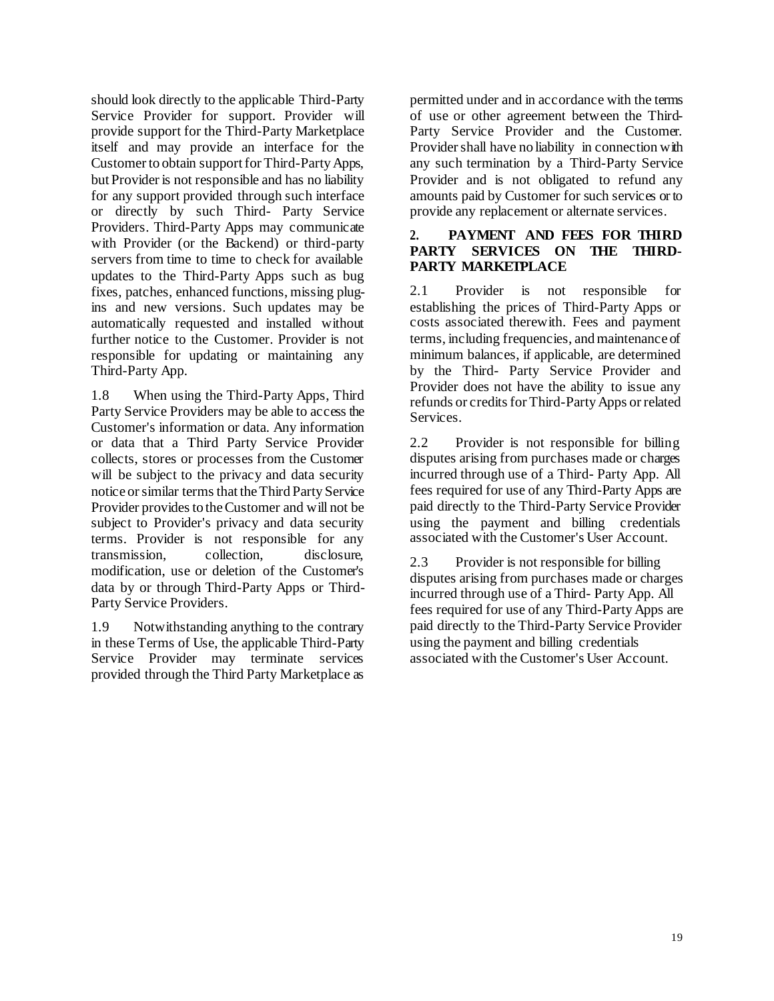should look directly to the applicable Third-Party Service Provider for support. Provider will provide support for the Third-Party Marketplace itself and may provide an interface for the Customer to obtain support for Third-Party Apps, but Provider is not responsible and has no liability for any support provided through such interface or directly by such Third- Party Service Providers. Third-Party Apps may communicate with Provider (or the Backend) or third-party servers from time to time to check for available updates to the Third-Party Apps such as bug fixes, patches, enhanced functions, missing plugins and new versions. Such updates may be automatically requested and installed without further notice to the Customer. Provider is not responsible for updating or maintaining any Third-Party App.

1.8 When using the Third-Party Apps, Third Party Service Providers may be able to access the Customer's information or data. Any information or data that a Third Party Service Provider collects, stores or processes from the Customer will be subject to the privacy and data security notice or similar terms that the Third Party Service Provider provides to the Customer and will not be subject to Provider's privacy and data security terms. Provider is not responsible for any transmission, collection, disclosure, modification, use or deletion of the Customer's data by or through Third-Party Apps or Third-Party Service Providers.

1.9 Notwithstanding anything to the contrary in these Terms of Use, the applicable Third-Party Service Provider may terminate services provided through the Third Party Marketplace as

permitted under and in accordance with the terms of use or other agreement between the Third-Party Service Provider and the Customer. Provider shall have no liability in connection with any such termination by a Third-Party Service Provider and is not obligated to refund any amounts paid by Customer for such services or to provide any replacement or alternate services.

#### **2. PAYMENT AND FEES FOR THIRD PARTY SERVICES ON THE THIRD-PARTY MARKETPLACE**

2.1 Provider is not responsible for establishing the prices of Third-Party Apps or costs associated therewith. Fees and payment terms, including frequencies, and maintenance of minimum balances, if applicable, are determined by the Third- Party Service Provider and Provider does not have the ability to issue any refunds or credits for Third-Party Apps or related Services.

2.2 Provider is not responsible for billing disputes arising from purchases made or charges incurred through use of a Third- Party App. All fees required for use of any Third-Party Apps are paid directly to the Third-Party Service Provider using the payment and billing credentials associated with the Customer's User Account.

2.3 Provider is not responsible for billing disputes arising from purchases made or charges incurred through use of a Third- Party App. All fees required for use of any Third-Party Apps are paid directly to the Third-Party Service Provider using the payment and billing credentials associated with the Customer's User Account.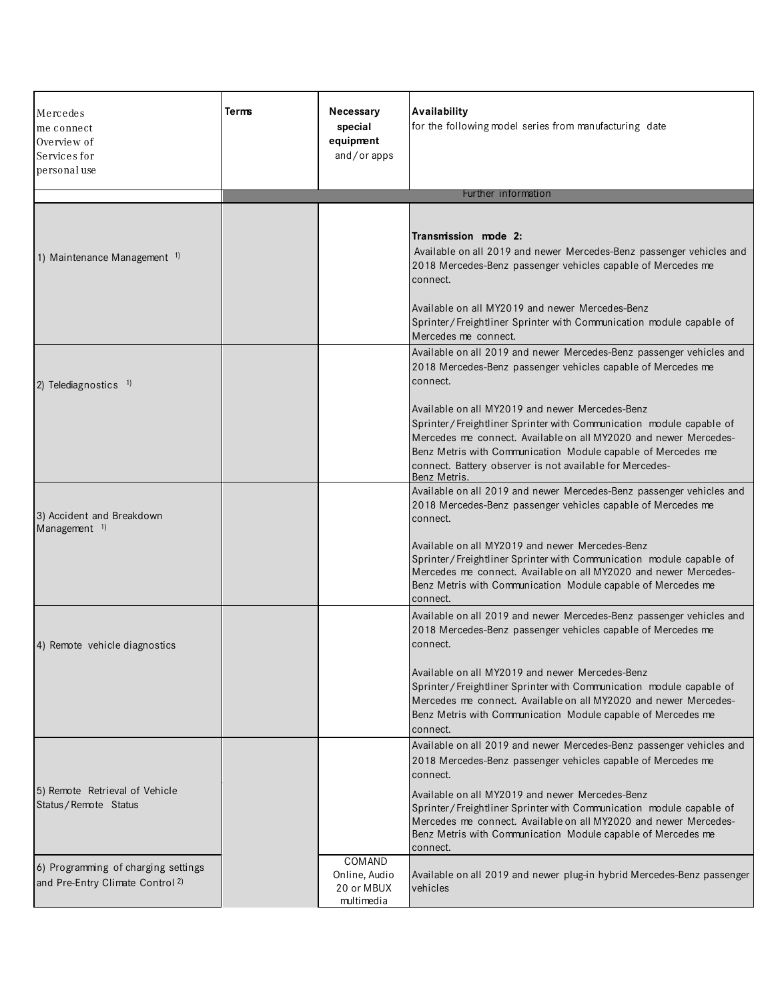| Mercedes<br>me connect<br>Overview of<br>Services for<br>personal use              | <b>Terms</b> | Necessary<br>special<br>equipment<br>and/or apps    | Availability<br>for the following model series from manufacturing date                                                                                                                                                                                                                                                                 |
|------------------------------------------------------------------------------------|--------------|-----------------------------------------------------|----------------------------------------------------------------------------------------------------------------------------------------------------------------------------------------------------------------------------------------------------------------------------------------------------------------------------------------|
|                                                                                    |              |                                                     | Further information                                                                                                                                                                                                                                                                                                                    |
| 1) Maintenance Management <sup>1)</sup>                                            |              |                                                     | Transmission mode 2:<br>Available on all 2019 and newer Mercedes-Benz passenger vehicles and<br>2018 Mercedes-Benz passenger vehicles capable of Mercedes me<br>connect.<br>Available on all MY2019 and newer Mercedes-Benz                                                                                                            |
|                                                                                    |              |                                                     | Sprinter/Freightliner Sprinter with Communication module capable of<br>Mercedes me connect.                                                                                                                                                                                                                                            |
| 2) Telediagnostics 1)                                                              |              |                                                     | Available on all 2019 and newer Mercedes-Benz passenger vehicles and<br>2018 Mercedes-Benz passenger vehicles capable of Mercedes me<br>connect.                                                                                                                                                                                       |
|                                                                                    |              |                                                     | Available on all MY2019 and newer Mercedes-Benz<br>Sprinter/Freightliner Sprinter with Communication module capable of<br>Mercedes me connect. Available on all MY2020 and newer Mercedes-<br>Benz Metris with Communication Module capable of Mercedes me<br>connect. Battery observer is not available for Mercedes-<br>Benz Metris. |
| 3) Accident and Breakdown<br>Management $1$ )                                      |              |                                                     | Available on all 2019 and newer Mercedes-Benz passenger vehicles and<br>2018 Mercedes-Benz passenger vehicles capable of Mercedes me<br>connect.                                                                                                                                                                                       |
|                                                                                    |              |                                                     | Available on all MY2019 and newer Mercedes-Benz<br>Sprinter/Freightliner Sprinter with Communication module capable of<br>Mercedes me connect. Available on all MY2020 and newer Mercedes-<br>Benz Metris with Communication Module capable of Mercedes me<br>connect.                                                                 |
| 4) Remote vehicle diagnostics                                                      |              |                                                     | Available on all 2019 and newer Mercedes-Benz passenger vehicles and<br>2018 Mercedes-Benz passenger vehicles capable of Mercedes me<br>connect.                                                                                                                                                                                       |
|                                                                                    |              |                                                     | Available on all MY2019 and newer Mercedes-Benz<br>Sprinter/Freightliner Sprinter with Communication module capable of<br>Mercedes me connect. Available on all MY2020 and newer Mercedes-<br>Benz Metris with Communication Module capable of Mercedes me<br>connect.                                                                 |
|                                                                                    |              |                                                     | Available on all 2019 and newer Mercedes-Benz passenger vehicles and<br>2018 Mercedes-Benz passenger vehicles capable of Mercedes me<br>connect.                                                                                                                                                                                       |
| 5) Remote Retrieval of Vehicle<br>Status/Remote Status                             |              |                                                     | Available on all MY2019 and newer Mercedes-Benz<br>Sprinter/Freightliner Sprinter with Communication module capable of<br>Mercedes me connect. Available on all MY2020 and newer Mercedes-<br>Benz Metris with Communication Module capable of Mercedes me<br>connect.                                                                 |
| 6) Programming of charging settings<br>and Pre-Entry Climate Control <sup>2)</sup> |              | COMAND<br>Online, Audio<br>20 or MBUX<br>multimedia | Available on all 2019 and newer plug-in hybrid Mercedes-Benz passenger<br>vehicles                                                                                                                                                                                                                                                     |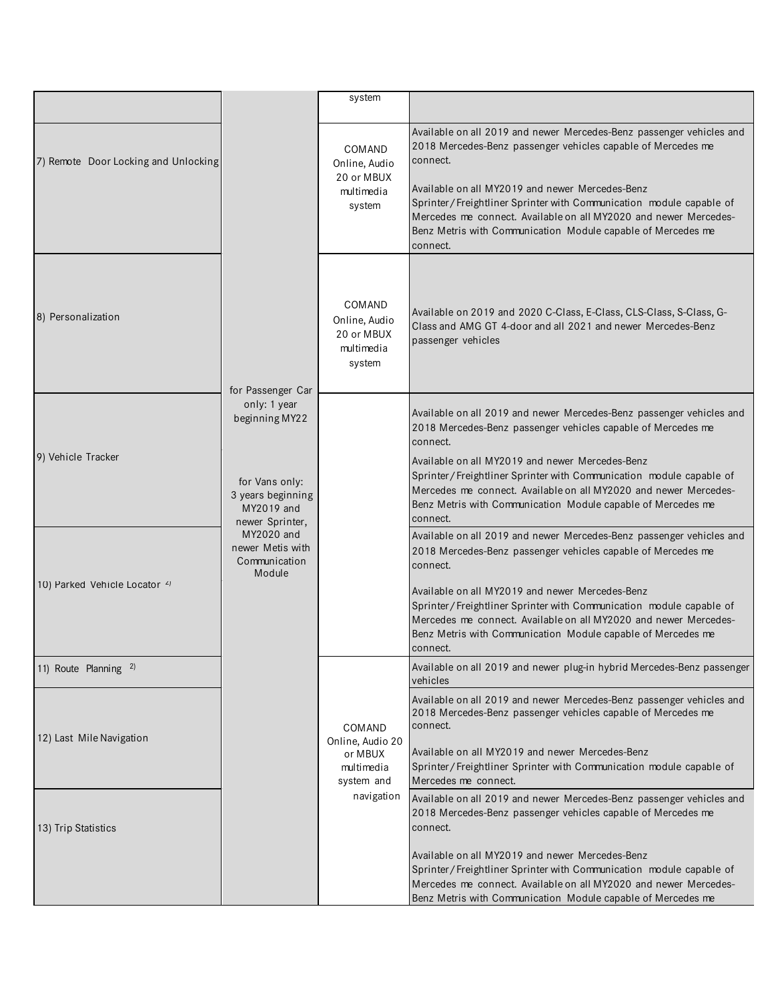|                                          |                                                                                                        | system                                                                          |                                                                                                                                                                                                                                                                                                                                                                                                                            |
|------------------------------------------|--------------------------------------------------------------------------------------------------------|---------------------------------------------------------------------------------|----------------------------------------------------------------------------------------------------------------------------------------------------------------------------------------------------------------------------------------------------------------------------------------------------------------------------------------------------------------------------------------------------------------------------|
|                                          |                                                                                                        |                                                                                 |                                                                                                                                                                                                                                                                                                                                                                                                                            |
| 7) Remote Door Locking and Unlocking     |                                                                                                        | COMAND<br>Online, Audio<br>20 or MBUX<br>multimedia<br>system                   | Available on all 2019 and newer Mercedes-Benz passenger vehicles and<br>2018 Mercedes-Benz passenger vehicles capable of Mercedes me<br>connect.<br>Available on all MY2019 and newer Mercedes-Benz<br>Sprinter/Freightliner Sprinter with Communication module capable of<br>Mercedes me connect. Available on all MY2020 and newer Mercedes-<br>Benz Metris with Communication Module capable of Mercedes me<br>connect. |
| 8) Personalization                       | for Passenger Car                                                                                      | COMAND<br>Online, Audio<br>20 or MBUX<br>multimedia<br>system                   | Available on 2019 and 2020 C-Class, E-Class, CLS-Class, S-Class, G-<br>Class and AMG GT 4-door and all 2021 and newer Mercedes-Benz<br>passenger vehicles                                                                                                                                                                                                                                                                  |
| 9) Vehicle Tracker                       | only: 1 year<br>beginning MY22<br>for Vans only:<br>3 years beginning<br>MY2019 and<br>newer Sprinter, |                                                                                 | Available on all 2019 and newer Mercedes-Benz passenger vehicles and<br>2018 Mercedes-Benz passenger vehicles capable of Mercedes me<br>connect.<br>Available on all MY2019 and newer Mercedes-Benz<br>Sprinter/Freightliner Sprinter with Communication module capable of<br>Mercedes me connect. Available on all MY2020 and newer Mercedes-<br>Benz Metris with Communication Module capable of Mercedes me<br>connect. |
| 10) Parked Vehicle Locator <sup>2)</sup> | MY2020 and<br>newer Metis with<br>Communication<br>Module                                              |                                                                                 | Available on all 2019 and newer Mercedes-Benz passenger vehicles and<br>2018 Mercedes-Benz passenger vehicles capable of Mercedes me<br>connect.<br>Available on all MY2019 and newer Mercedes-Benz<br>Sprinter/Freightliner Sprinter with Communication module capable of<br>Mercedes me connect. Available on all MY2020 and newer Mercedes-<br>Benz Metris with Communication Module capable of Mercedes me<br>connect. |
| 11) Route Planning 2)                    |                                                                                                        |                                                                                 | Available on all 2019 and newer plug-in hybrid Mercedes-Benz passenger<br>vehicles                                                                                                                                                                                                                                                                                                                                         |
| 12) Last Mile Navigation                 |                                                                                                        | COMAND<br>Online, Audio 20<br>or MBUX<br>multimedia<br>system and<br>navigation | Available on all 2019 and newer Mercedes-Benz passenger vehicles and<br>2018 Mercedes-Benz passenger vehicles capable of Mercedes me<br>connect.<br>Available on all MY2019 and newer Mercedes-Benz<br>Sprinter/Freightliner Sprinter with Communication module capable of<br>Mercedes me connect.                                                                                                                         |
| 13) Trip Statistics                      |                                                                                                        |                                                                                 | Available on all 2019 and newer Mercedes-Benz passenger vehicles and<br>2018 Mercedes-Benz passenger vehicles capable of Mercedes me<br>connect.                                                                                                                                                                                                                                                                           |
|                                          |                                                                                                        |                                                                                 | Available on all MY2019 and newer Mercedes-Benz<br>Sprinter/Freightliner Sprinter with Communication module capable of<br>Mercedes me connect. Available on all MY2020 and newer Mercedes-<br>Benz Metris with Communication Module capable of Mercedes me                                                                                                                                                                 |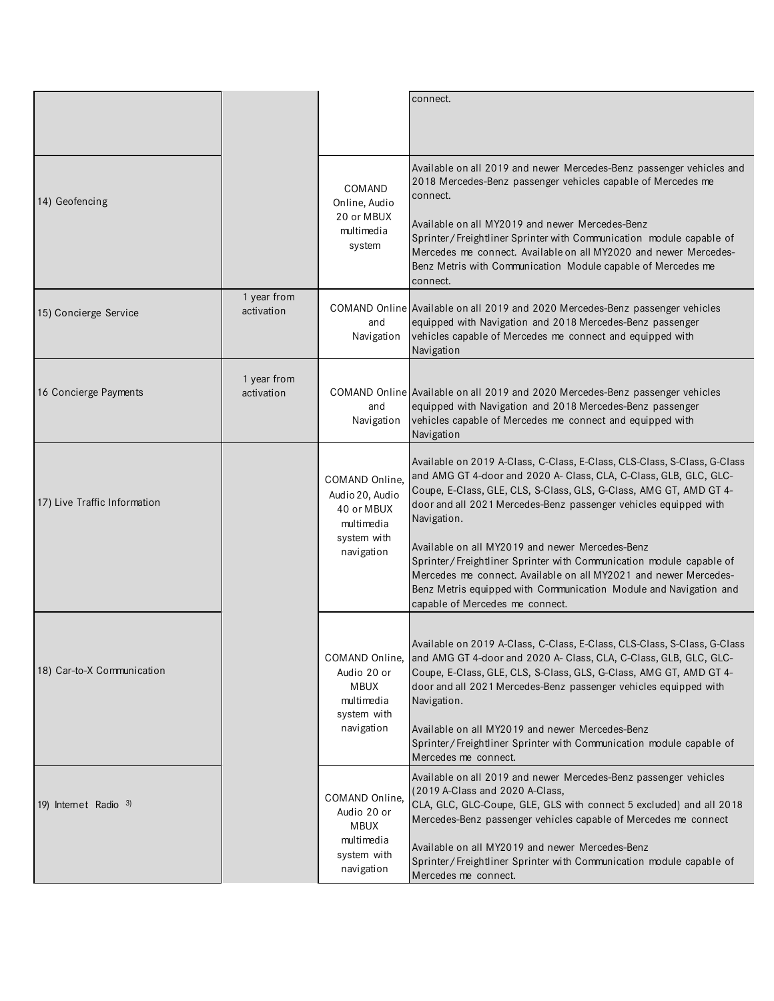|                              |                           |                                                                                            | connect.                                                                                                                                                                                                                                                                                                                                                                                                                                                                                                                                                                                                     |
|------------------------------|---------------------------|--------------------------------------------------------------------------------------------|--------------------------------------------------------------------------------------------------------------------------------------------------------------------------------------------------------------------------------------------------------------------------------------------------------------------------------------------------------------------------------------------------------------------------------------------------------------------------------------------------------------------------------------------------------------------------------------------------------------|
| 14) Geofencing               |                           | COMAND<br>Online, Audio<br>20 or MBUX<br>multimedia<br>system                              | Available on all 2019 and newer Mercedes-Benz passenger vehicles and<br>2018 Mercedes-Benz passenger vehicles capable of Mercedes me<br>connect.<br>Available on all MY2019 and newer Mercedes-Benz<br>Sprinter/Freightliner Sprinter with Communication module capable of<br>Mercedes me connect. Available on all MY2020 and newer Mercedes-<br>Benz Metris with Communication Module capable of Mercedes me<br>connect.                                                                                                                                                                                   |
| 15) Concierge Service        | 1 year from<br>activation | and<br>Navigation                                                                          | COMAND Online Available on all 2019 and 2020 Mercedes-Benz passenger vehicles<br>equipped with Navigation and 2018 Mercedes-Benz passenger<br>vehicles capable of Mercedes me connect and equipped with<br>Navigation                                                                                                                                                                                                                                                                                                                                                                                        |
| 16 Concierge Payments        | 1 year from<br>activation | and<br>Navigation                                                                          | COMAND Online Available on all 2019 and 2020 Mercedes-Benz passenger vehicles<br>equipped with Navigation and 2018 Mercedes-Benz passenger<br>vehicles capable of Mercedes me connect and equipped with<br>Navigation                                                                                                                                                                                                                                                                                                                                                                                        |
| 17) Live Traffic Information |                           | COMAND Online.<br>Audio 20, Audio<br>40 or MBUX<br>multimedia<br>system with<br>navigation | Available on 2019 A-Class, C-Class, E-Class, CLS-Class, S-Class, G-Class<br>and AMG GT 4-door and 2020 A- Class, CLA, C-Class, GLB, GLC, GLC-<br>Coupe, E-Class, GLE, CLS, S-Class, GLS, G-Class, AMG GT, AMD GT 4-<br>door and all 2021 Mercedes-Benz passenger vehicles equipped with<br>Navigation.<br>Available on all MY2019 and newer Mercedes-Benz<br>Sprinter/Freightliner Sprinter with Communication module capable of<br>Mercedes me connect. Available on all MY2021 and newer Mercedes-<br>Benz Metris equipped with Communication Module and Navigation and<br>capable of Mercedes me connect. |
| 18) Car-to-X Communication   |                           | Audio 20 or<br><b>MBUX</b><br>multimedia<br>system with<br>navigation                      | Available on 2019 A-Class, C-Class, E-Class, CLS-Class, S-Class, G-Class<br>COMAND Online, and AMG GT 4-door and 2020 A- Class, CLA, C-Class, GLB, GLC, GLC-<br>Coupe, E-Class, GLE, CLS, S-Class, GLS, G-Class, AMG GT, AMD GT 4-<br>door and all 2021 Mercedes-Benz passenger vehicles equipped with<br>Navigation.<br>Available on all MY2019 and newer Mercedes-Benz<br>Sprinter/Freightliner Sprinter with Communication module capable of<br>Mercedes me connect.                                                                                                                                      |
| 19) Internet Radio 3)        |                           | COMAND Online,<br>Audio 20 or<br><b>MBUX</b><br>multimedia<br>system with<br>navigation    | Available on all 2019 and newer Mercedes-Benz passenger vehicles<br>(2019 A-Class and 2020 A-Class,<br>CLA, GLC, GLC-Coupe, GLE, GLS with connect 5 excluded) and all 2018<br>Mercedes-Benz passenger vehicles capable of Mercedes me connect<br>Available on all MY2019 and newer Mercedes-Benz<br>Sprinter/Freightliner Sprinter with Communication module capable of<br>Mercedes me connect.                                                                                                                                                                                                              |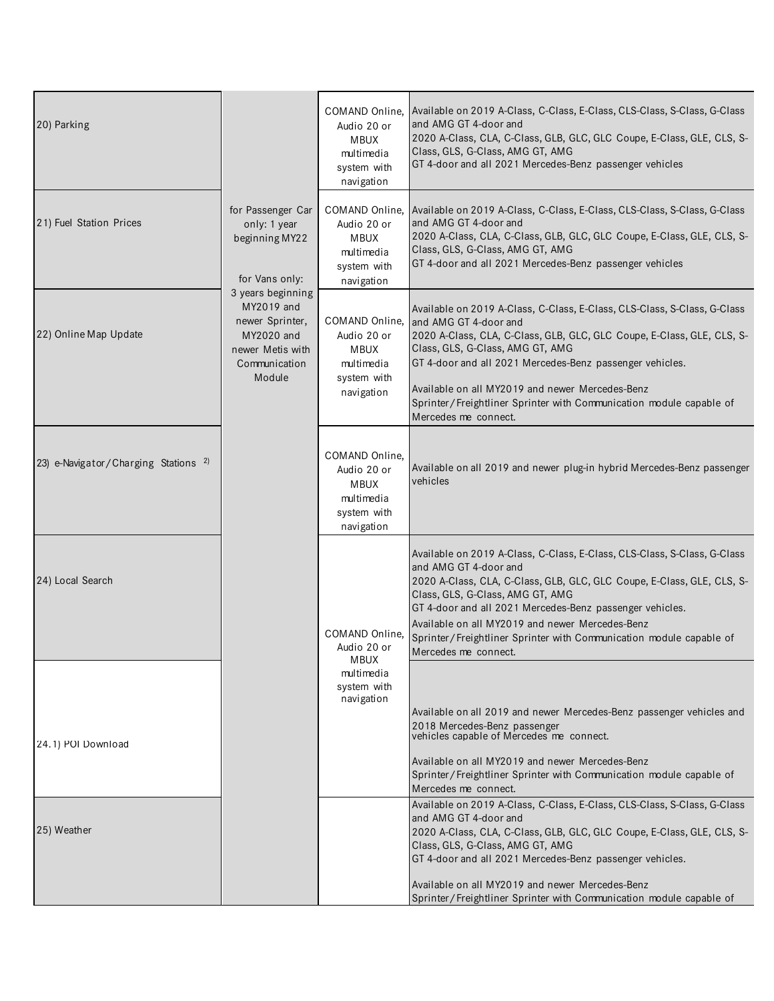| 20) Parking                                     |                                                                                                                 | COMAND Online,<br>Audio 20 or<br><b>MBUX</b><br>multimedia<br>system with<br>navigation | Available on 2019 A-Class, C-Class, E-Class, CLS-Class, S-Class, G-Class<br>and AMG GT 4-door and<br>2020 A-Class, CLA, C-Class, GLB, GLC, GLC Coupe, E-Class, GLE, CLS, S-<br>Class, GLS, G-Class, AMG GT, AMG<br>GT 4-door and all 2021 Mercedes-Benz passenger vehicles                                                                                                                                                    |
|-------------------------------------------------|-----------------------------------------------------------------------------------------------------------------|-----------------------------------------------------------------------------------------|-------------------------------------------------------------------------------------------------------------------------------------------------------------------------------------------------------------------------------------------------------------------------------------------------------------------------------------------------------------------------------------------------------------------------------|
| 21) Fuel Station Prices                         | for Passenger Car<br>only: 1 year<br>beginning MY22<br>for Vans only:                                           | COMAND Online,<br>Audio 20 or<br><b>MBUX</b><br>multimedia<br>system with<br>navigation | Available on 2019 A-Class, C-Class, E-Class, CLS-Class, S-Class, G-Class<br>and AMG GT 4-door and<br>2020 A-Class, CLA, C-Class, GLB, GLC, GLC Coupe, E-Class, GLE, CLS, S-<br>Class, GLS, G-Class, AMG GT, AMG<br>GT 4-door and all 2021 Mercedes-Benz passenger vehicles                                                                                                                                                    |
| 22) Online Map Update                           | 3 years beginning<br>MY2019 and<br>newer Sprinter,<br>MY2020 and<br>newer Metis with<br>Communication<br>Module | COMAND Online,<br>Audio 20 or<br><b>MBUX</b><br>multimedia<br>system with<br>navigation | Available on 2019 A-Class, C-Class, E-Class, CLS-Class, S-Class, G-Class<br>and AMG GT 4-door and<br>2020 A-Class, CLA, C-Class, GLB, GLC, GLC Coupe, E-Class, GLE, CLS, S-<br>Class, GLS, G-Class, AMG GT, AMG<br>GT 4-door and all 2021 Mercedes-Benz passenger vehicles.<br>Available on all MY2019 and newer Mercedes-Benz<br>Sprinter/Freightliner Sprinter with Communication module capable of<br>Mercedes me connect. |
| 23) e-Navigator/Charging Stations <sup>2)</sup> |                                                                                                                 | COMAND Online,<br>Audio 20 or<br><b>MBUX</b><br>multimedia<br>system with<br>navigation | Available on all 2019 and newer plug-in hybrid Mercedes-Benz passenger<br>vehicles                                                                                                                                                                                                                                                                                                                                            |
| 24) Local Search                                |                                                                                                                 | COMAND Online,<br>Audio 20 or                                                           | Available on 2019 A-Class, C-Class, E-Class, CLS-Class, S-Class, G-Class<br>and AMG GT 4-door and<br>2020 A-Class, CLA, C-Class, GLB, GLC, GLC Coupe, E-Class, GLE, CLS, S-<br>Class, GLS, G-Class, AMG GT, AMG<br>GT 4-door and all 2021 Mercedes-Benz passenger vehicles.<br>Available on all MY2019 and newer Mercedes-Benz<br>Sprinter/Freightliner Sprinter with Communication module capable of<br>Mercedes me connect. |
| 24.1) POI Download                              |                                                                                                                 | MBUX<br>multimedia<br>system with<br>navigation                                         | Available on all 2019 and newer Mercedes-Benz passenger vehicles and<br>2018 Mercedes-Benz passenger<br>vehicles capable of Mercedes me connect.<br>Available on all MY2019 and newer Mercedes-Benz<br>Sprinter/Freightliner Sprinter with Communication module capable of<br>Mercedes me connect.                                                                                                                            |
| 25) Weather                                     |                                                                                                                 |                                                                                         | Available on 2019 A-Class, C-Class, E-Class, CLS-Class, S-Class, G-Class<br>and AMG GT 4-door and<br>2020 A-Class, CLA, C-Class, GLB, GLC, GLC Coupe, E-Class, GLE, CLS, S-<br>Class, GLS, G-Class, AMG GT, AMG<br>GT 4-door and all 2021 Mercedes-Benz passenger vehicles.<br>Available on all MY2019 and newer Mercedes-Benz<br>Sprinter/Freightliner Sprinter with Communication module capable of                         |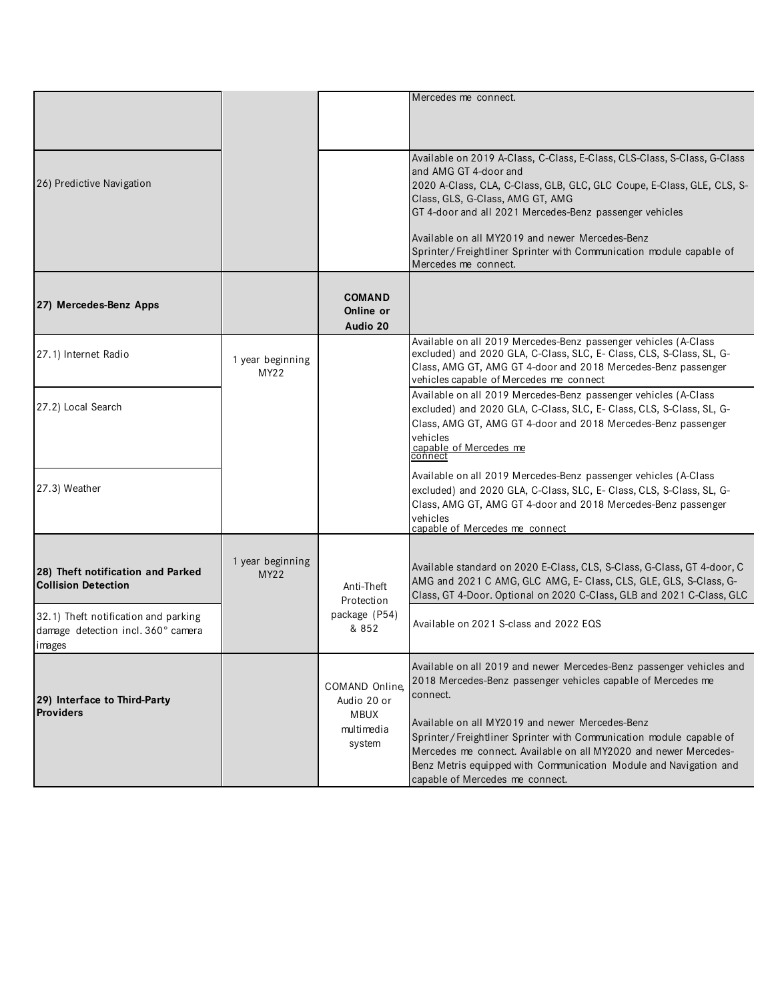|                                                                                                         |                                 |                                                                      | Mercedes me connect.                                                                                                                                                                                                                                                                                                                                                                                                                                   |
|---------------------------------------------------------------------------------------------------------|---------------------------------|----------------------------------------------------------------------|--------------------------------------------------------------------------------------------------------------------------------------------------------------------------------------------------------------------------------------------------------------------------------------------------------------------------------------------------------------------------------------------------------------------------------------------------------|
| 26) Predictive Navigation                                                                               |                                 |                                                                      | Available on 2019 A-Class, C-Class, E-Class, CLS-Class, S-Class, G-Class<br>and AMG GT 4-door and<br>2020 A-Class, CLA, C-Class, GLB, GLC, GLC Coupe, E-Class, GLE, CLS, S-<br>Class, GLS, G-Class, AMG GT, AMG<br>GT 4-door and all 2021 Mercedes-Benz passenger vehicles<br>Available on all MY2019 and newer Mercedes-Benz<br>Sprinter/Freightliner Sprinter with Communication module capable of<br>Mercedes me connect.                           |
| 27) Mercedes-Benz Apps                                                                                  |                                 | <b>COMAND</b><br>Online or<br>Audio 20                               |                                                                                                                                                                                                                                                                                                                                                                                                                                                        |
| 27.1) Internet Radio                                                                                    | 1 year beginning<br>MY22        |                                                                      | Available on all 2019 Mercedes-Benz passenger vehicles (A-Class<br>excluded) and 2020 GLA, C-Class, SLC, E- Class, CLS, S-Class, SL, G-<br>Class, AMG GT, AMG GT 4-door and 2018 Mercedes-Benz passenger<br>vehicles capable of Mercedes me connect                                                                                                                                                                                                    |
| 27.2) Local Search                                                                                      |                                 |                                                                      | Available on all 2019 Mercedes-Benz passenger vehicles (A-Class<br>excluded) and 2020 GLA, C-Class, SLC, E- Class, CLS, S-Class, SL, G-<br>Class, AMG GT, AMG GT 4-door and 2018 Mercedes-Benz passenger<br>vehicles<br>capable of Mercedes me                                                                                                                                                                                                         |
| 27.3) Weather                                                                                           |                                 |                                                                      | Available on all 2019 Mercedes-Benz passenger vehicles (A-Class<br>excluded) and 2020 GLA, C-Class, SLC, E- Class, CLS, S-Class, SL, G-<br>Class, AMG GT, AMG GT 4-door and 2018 Mercedes-Benz passenger<br>vehicles<br>capable of Mercedes me connect                                                                                                                                                                                                 |
| 28) Theft notification and Parked<br><b>Collision Detection</b><br>32.1) Theft notification and parking | 1 year beginning<br><b>MY22</b> | Anti-Theft<br>Protection<br>package (P54)                            | Available standard on 2020 E-Class, CLS, S-Class, G-Class, GT 4-door, C<br>AMG and 2021 C AMG, GLC AMG, E- Class, CLS, GLE, GLS, S-Class, G-<br>Class, GT 4-Door. Optional on 2020 C-Class, GLB and 2021 C-Class, GLC                                                                                                                                                                                                                                  |
| damage detection incl. 360° camera<br>images                                                            |                                 | & 852                                                                | Available on 2021 S-class and 2022 EQS                                                                                                                                                                                                                                                                                                                                                                                                                 |
| 29) Interface to Third-Party<br><b>Providers</b>                                                        |                                 | COMAND Online,<br>Audio 20 or<br><b>MBUX</b><br>multimedia<br>system | Available on all 2019 and newer Mercedes-Benz passenger vehicles and<br>2018 Mercedes-Benz passenger vehicles capable of Mercedes me<br>connect.<br>Available on all MY2019 and newer Mercedes-Benz<br>Sprinter/Freightliner Sprinter with Communication module capable of<br>Mercedes me connect. Available on all MY2020 and newer Mercedes-<br>Benz Metris equipped with Communication Module and Navigation and<br>capable of Mercedes me connect. |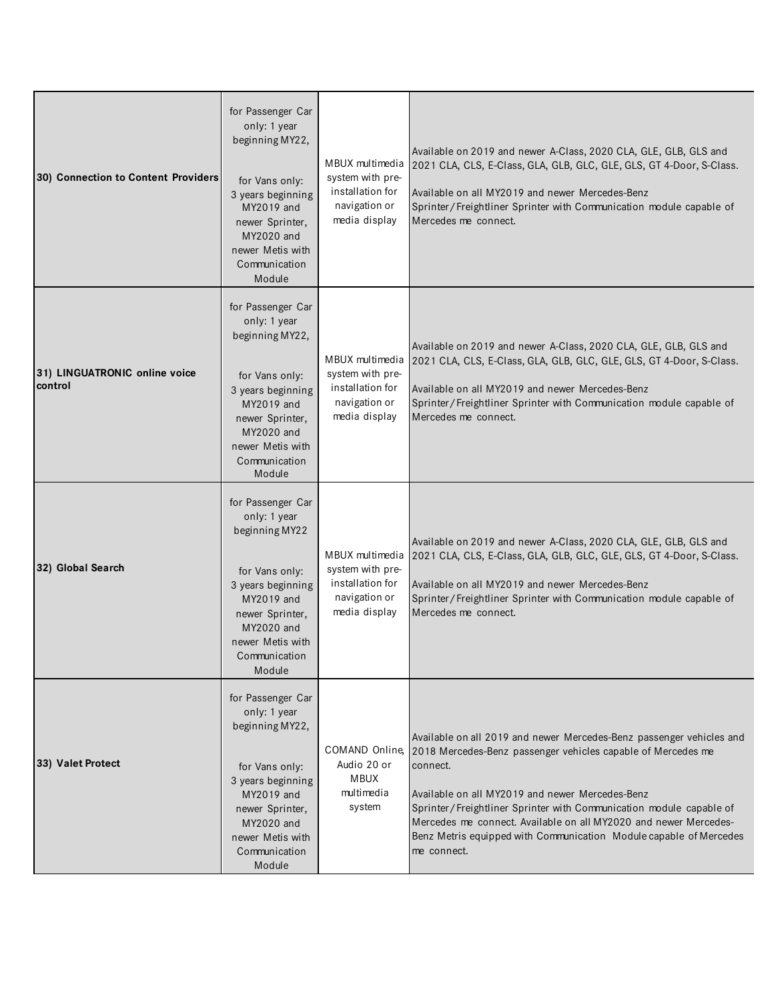| 30) Connection to Content Providers      | for Passenger Car<br>only: 1 year<br>beginning MY22,<br>for Vans only:<br>3 years beginning<br>MY2019 and<br>newer Sprinter,<br>MY2020 and<br>newer Metis with<br>Communication<br>Module | MBUX multimedia<br>system with pre-<br>installation for<br>navigation or<br>media display | Available on 2019 and newer A-Class, 2020 CLA, GLE, GLB, GLS and<br>2021 CLA, CLS, E-Class, GLA, GLB, GLC, GLE, GLS, GT 4-Door, S-Class.<br>Available on all MY2019 and newer Mercedes-Benz<br>Sprinter/Freightliner Sprinter with Communication module capable of<br>Mercedes me connect.                                                                                                                                          |
|------------------------------------------|-------------------------------------------------------------------------------------------------------------------------------------------------------------------------------------------|-------------------------------------------------------------------------------------------|-------------------------------------------------------------------------------------------------------------------------------------------------------------------------------------------------------------------------------------------------------------------------------------------------------------------------------------------------------------------------------------------------------------------------------------|
| 31) LINGUATRONIC online voice<br>control | for Passenger Car<br>only: 1 year<br>beginning MY22,<br>for Vans only:<br>3 years beginning<br>MY2019 and<br>newer Sprinter,<br>MY2020 and<br>newer Metis with<br>Communication<br>Module | MBUX multimedia<br>system with pre-<br>installation for<br>navigation or<br>media display | Available on 2019 and newer A-Class, 2020 CLA, GLE, GLB, GLS and<br>2021 CLA, CLS, E-Class, GLA, GLB, GLC, GLE, GLS, GT 4-Door, S-Class.<br>Available on all MY2019 and newer Mercedes-Benz<br>Sprinter/Freightliner Sprinter with Communication module capable of<br>Mercedes me connect.                                                                                                                                          |
| 32) Global Search                        | for Passenger Car<br>only: 1 year<br>beginning MY22<br>for Vans only:<br>3 years beginning<br>MY2019 and<br>newer Sprinter,<br>MY2020 and<br>newer Metis with<br>Communication<br>Module  | MBUX multimedia<br>system with pre-<br>installation for<br>navigation or<br>media display | Available on 2019 and newer A-Class, 2020 CLA, GLE, GLB, GLS and<br>2021 CLA, CLS, E-Class, GLA, GLB, GLC, GLE, GLS, GT 4-Door, S-Class.<br>Available on all MY2019 and newer Mercedes-Benz<br>Sprinter/Freightliner Sprinter with Communication module capable of<br>Mercedes me connect.                                                                                                                                          |
| 33) Valet Protect                        | for Passenger Car<br>only: 1 year<br>beginning MY22,<br>for Vans only:<br>3 years beginning<br>MY2019 and<br>newer Sprinter,<br>MY2020 and<br>newer Metis with<br>Communication<br>Module | COMAND Online.<br>Audio 20 or<br><b>MBUX</b><br>multimedia<br>system                      | Available on all 2019 and newer Mercedes-Benz passenger vehicles and<br>2018 Mercedes-Benz passenger vehicles capable of Mercedes me<br>connect.<br>Available on all MY2019 and newer Mercedes-Benz<br>Sprinter/Freightliner Sprinter with Communication module capable of<br>Mercedes me connect. Available on all MY2020 and newer Mercedes-<br>Benz Metris equipped with Communication Module capable of Mercedes<br>me connect. |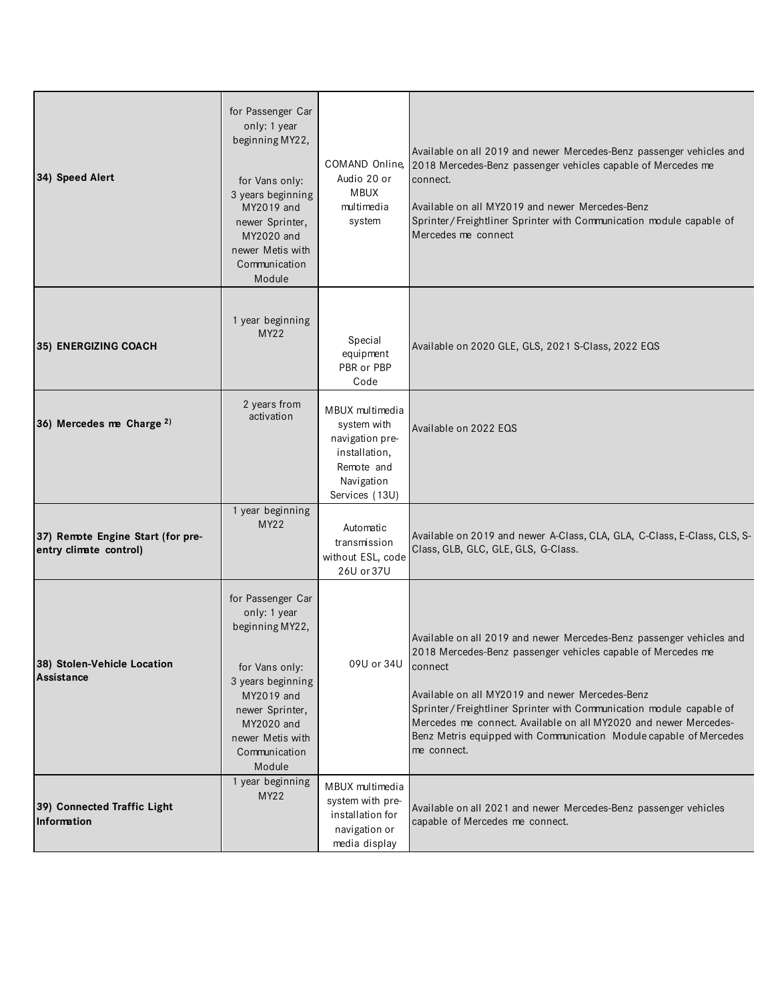| 34) Speed Alert                                             | for Passenger Car<br>only: 1 year<br>beginning MY22,<br>for Vans only:<br>3 years beginning<br>MY2019 and<br>newer Sprinter,<br>MY2020 and<br>newer Metis with<br>Communication<br>Module | Audio 20 or<br><b>MBUX</b><br>multimedia<br>system                                                               | Available on all 2019 and newer Mercedes-Benz passenger vehicles and<br>COMAND Online, 2018 Mercedes-Benz passenger vehicles capable of Mercedes me<br>connect.<br>Available on all MY2019 and newer Mercedes-Benz<br>Sprinter/Freightliner Sprinter with Communication module capable of<br>Mercedes me connect                                                                                                                   |
|-------------------------------------------------------------|-------------------------------------------------------------------------------------------------------------------------------------------------------------------------------------------|------------------------------------------------------------------------------------------------------------------|------------------------------------------------------------------------------------------------------------------------------------------------------------------------------------------------------------------------------------------------------------------------------------------------------------------------------------------------------------------------------------------------------------------------------------|
| 35) ENERGIZING COACH                                        | 1 year beginning<br><b>MY22</b>                                                                                                                                                           | Special<br>equipment<br>PBR or PBP<br>Code                                                                       | Available on 2020 GLE, GLS, 2021 S-Class, 2022 EQS                                                                                                                                                                                                                                                                                                                                                                                 |
| 36) Mercedes me Charge 2)                                   | 2 years from<br>activation                                                                                                                                                                | MBUX multimedia<br>system with<br>navigation pre-<br>installation,<br>Remote and<br>Navigation<br>Services (13U) | Available on 2022 EQS                                                                                                                                                                                                                                                                                                                                                                                                              |
| 37) Remote Engine Start (for pre-<br>entry climate control) | 1 year beginning<br><b>MY22</b>                                                                                                                                                           | Automatic<br>transmission<br>without ESL, code<br>26U or 37U                                                     | Available on 2019 and newer A-Class, CLA, GLA, C-Class, E-Class, CLS, S-<br>Class, GLB, GLC, GLE, GLS, G-Class.                                                                                                                                                                                                                                                                                                                    |
| 38) Stolen-Vehicle Location<br>Assistance                   | for Passenger Car<br>only: 1 year<br>beginning MY22,<br>for Vans only:<br>3 years beginning<br>MY2019 and<br>newer Sprinter,<br>MY2020 and<br>newer Metis with<br>Communication<br>Module | 09U or 34U                                                                                                       | Available on all 2019 and newer Mercedes-Benz passenger vehicles and<br>2018 Mercedes-Benz passenger vehicles capable of Mercedes me<br>connect<br>Available on all MY2019 and newer Mercedes-Benz<br>Sprinter/Freightliner Sprinter with Communication module capable of<br>Mercedes me connect. Available on all MY2020 and newer Mercedes-<br>Benz Metris equipped with Communication Module capable of Mercedes<br>me connect. |
| 39) Connected Traffic Light<br>Information                  | 1 year beginning<br>MY22                                                                                                                                                                  | MBUX multimedia<br>system with pre-<br>installation for<br>navigation or<br>media display                        | Available on all 2021 and newer Mercedes-Benz passenger vehicles<br>capable of Mercedes me connect.                                                                                                                                                                                                                                                                                                                                |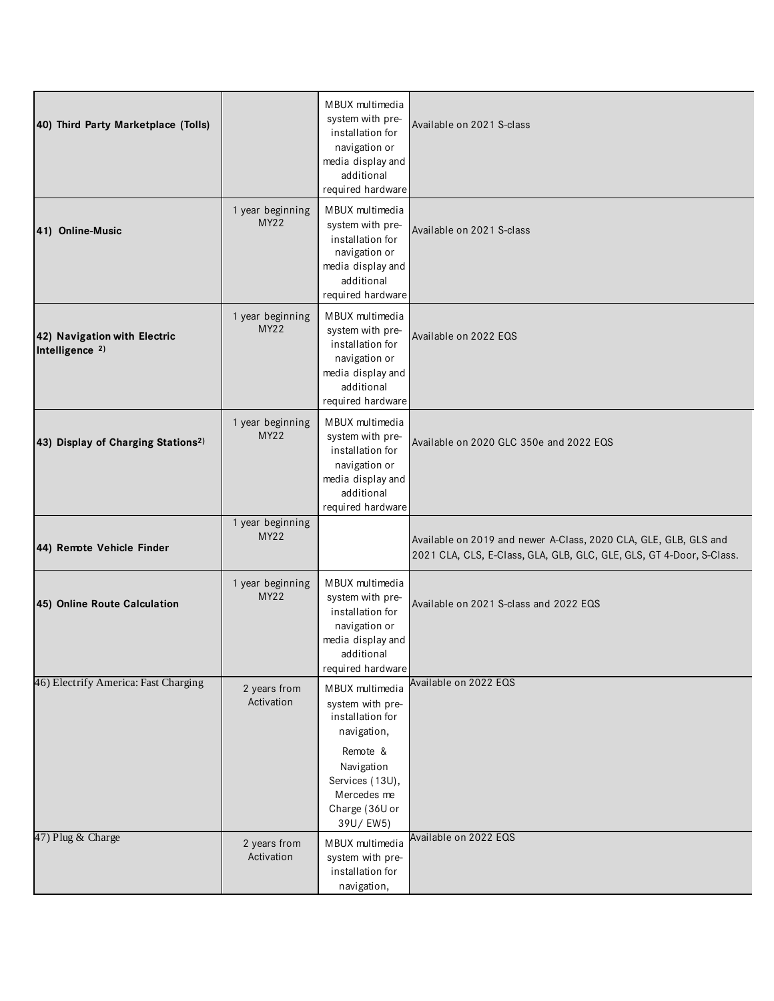| 40) Third Party Marketplace (Tolls)                        |                                 | MBUX multimedia<br>system with pre-<br>installation for<br>navigation or<br>media display and<br>additional<br>required hardware                                 | Available on 2021 S-class                                                                                                                |
|------------------------------------------------------------|---------------------------------|------------------------------------------------------------------------------------------------------------------------------------------------------------------|------------------------------------------------------------------------------------------------------------------------------------------|
| 41) Online-Music                                           | 1 year beginning<br><b>MY22</b> | MBUX multimedia<br>system with pre-<br>installation for<br>navigation or<br>media display and<br>additional<br>required hardware                                 | Available on 2021 S-class                                                                                                                |
| 42) Navigation with Electric<br>Intelligence <sup>2)</sup> | 1 year beginning<br><b>MY22</b> | MBUX multimedia<br>system with pre-<br>installation for<br>navigation or<br>media display and<br>additional<br>required hardware                                 | Available on 2022 EQS                                                                                                                    |
| 43) Display of Charging Stations <sup>2)</sup>             | 1 year beginning<br><b>MY22</b> | MBUX multimedia<br>system with pre-<br>installation for<br>navigation or<br>media display and<br>additional<br>required hardware                                 | Available on 2020 GLC 350e and 2022 EQS                                                                                                  |
| 44) Remote Vehicle Finder                                  | 1 year beginning<br>MY22        |                                                                                                                                                                  | Available on 2019 and newer A-Class, 2020 CLA, GLE, GLB, GLS and<br>2021 CLA, CLS, E-Class, GLA, GLB, GLC, GLE, GLS, GT 4-Door, S-Class. |
| 45) Online Route Calculation                               | 1 year beginning<br><b>MY22</b> | MBUX multimedia<br>system with pre-<br>installation for<br>navigation or<br>media display and<br>additional<br>required hardware                                 | Available on 2021 S-class and 2022 EQS                                                                                                   |
| 46) Electrify America: Fast Charging                       | 2 years from<br>Activation      | MBUX multimedia<br>system with pre-<br>installation for<br>navigation,<br>Remote &<br>Navigation<br>Services (13U),<br>Mercedes me<br>Charge (36U or<br>39U/EW5) | Available on 2022 EQS                                                                                                                    |
| 47) Plug & Charge                                          | 2 years from<br>Activation      | MBUX multimedia<br>system with pre-<br>installation for<br>navigation,                                                                                           | Available on 2022 EQS                                                                                                                    |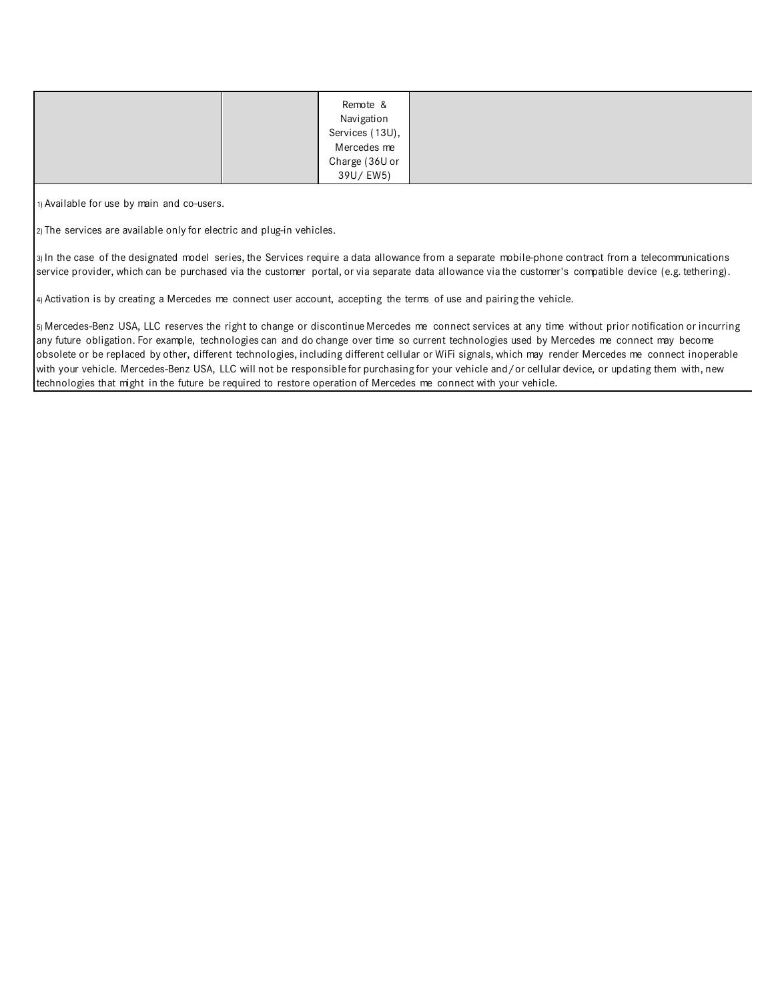| Remote &<br>Navigation<br>Services (13U),<br>Mercedes me |  |
|----------------------------------------------------------|--|
| Charge (36U or<br>39U/EW5)                               |  |

1) Available for use by main and co-users.

2) The services are available only for electric and plug-in vehicles.

3) In the case of the designated model series, the Services require a data allowance from a separate mobile-phone contract from a telecommunications service provider, which can be purchased via the customer portal, or via separate data allowance via the customer's compatible device (e.g. tethering).

4) Activation is by creating a Mercedes me connect user account, accepting the terms of use and pairing the vehicle.

5) Mercedes-Benz USA, LLC reserves the right to change or discontinue Mercedes me connect services at any time without prior notification or incurring any future obligation. For example, technologies can and do change over time so current technologies used by Mercedes me connect may become obsolete or be replaced by other, different technologies, including different cellular or WiFi signals, which may render Mercedes me connect inoperable with your vehicle. Mercedes-Benz USA, LLC will not be responsible for purchasing for your vehicle and/or cellular device, or updating them with, new technologies that might in the future be required to restore operation of Mercedes me connect with your vehicle.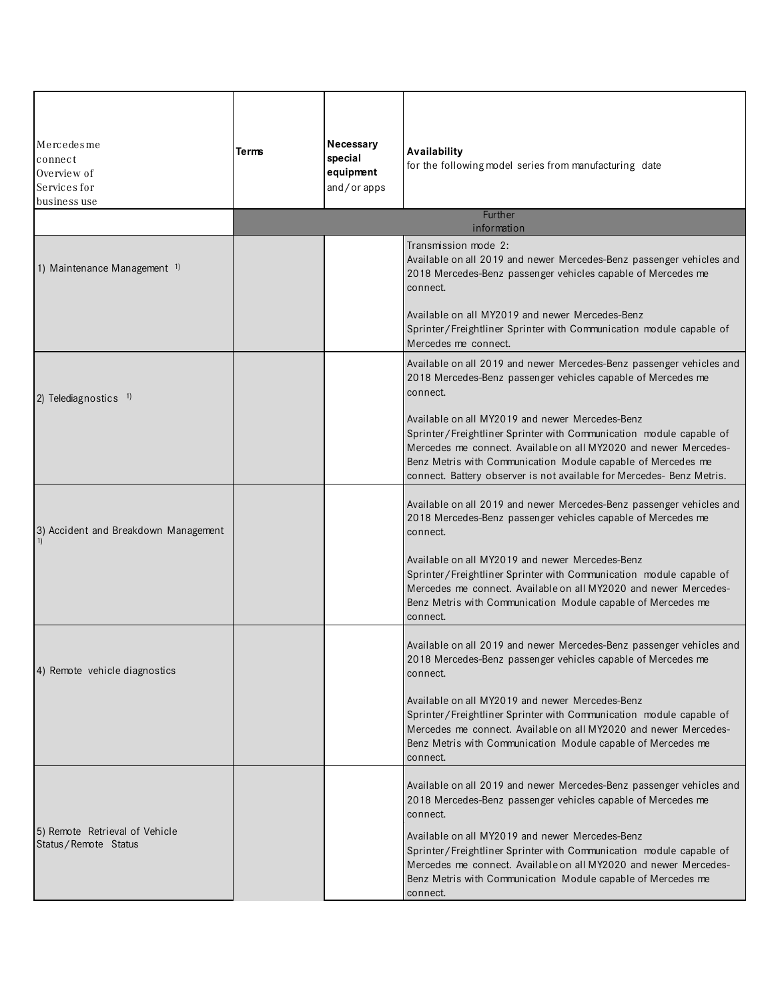| Mercedesme<br>connect<br>Overview of<br>Services for<br>business use | Terms | Necessary<br>special<br>equipment<br>and/or apps | Availability<br>for the following model series from manufacturing date                                                                                                                                                                                                                                                              |
|----------------------------------------------------------------------|-------|--------------------------------------------------|-------------------------------------------------------------------------------------------------------------------------------------------------------------------------------------------------------------------------------------------------------------------------------------------------------------------------------------|
|                                                                      |       |                                                  | Further<br>information                                                                                                                                                                                                                                                                                                              |
| 1) Maintenance Management 1)                                         |       |                                                  | Transmission mode 2:<br>Available on all 2019 and newer Mercedes-Benz passenger vehicles and<br>2018 Mercedes-Benz passenger vehicles capable of Mercedes me<br>connect.                                                                                                                                                            |
|                                                                      |       |                                                  | Available on all MY2019 and newer Mercedes-Benz<br>Sprinter/Freightliner Sprinter with Communication module capable of<br>Mercedes me connect.                                                                                                                                                                                      |
| 2) Telediagnostics $1$                                               |       |                                                  | Available on all 2019 and newer Mercedes-Benz passenger vehicles and<br>2018 Mercedes-Benz passenger vehicles capable of Mercedes me<br>connect.                                                                                                                                                                                    |
|                                                                      |       |                                                  | Available on all MY2019 and newer Mercedes-Benz<br>Sprinter/Freightliner Sprinter with Communication module capable of<br>Mercedes me connect. Available on all MY2020 and newer Mercedes-<br>Benz Metris with Communication Module capable of Mercedes me<br>connect. Battery observer is not available for Mercedes- Benz Metris. |
| 3) Accident and Breakdown Management                                 |       |                                                  | Available on all 2019 and newer Mercedes-Benz passenger vehicles and<br>2018 Mercedes-Benz passenger vehicles capable of Mercedes me<br>connect.                                                                                                                                                                                    |
|                                                                      |       |                                                  | Available on all MY2019 and newer Mercedes-Benz<br>Sprinter/Freightliner Sprinter with Communication module capable of<br>Mercedes me connect. Available on all MY2020 and newer Mercedes-<br>Benz Metris with Communication Module capable of Mercedes me<br>connect.                                                              |
| 4) Remote vehicle diagnostics                                        |       |                                                  | Available on all 2019 and newer Mercedes-Benz passenger vehicles and<br>2018 Mercedes-Benz passenger vehicles capable of Mercedes me<br>connect.                                                                                                                                                                                    |
|                                                                      |       |                                                  | Available on all MY2019 and newer Mercedes-Benz<br>Sprinter/Freightliner Sprinter with Communication module capable of<br>Mercedes me connect. Available on all MY2020 and newer Mercedes-<br>Benz Metris with Communication Module capable of Mercedes me<br>connect.                                                              |
| 5) Remote Retrieval of Vehicle                                       |       |                                                  | Available on all 2019 and newer Mercedes-Benz passenger vehicles and<br>2018 Mercedes-Benz passenger vehicles capable of Mercedes me<br>connect.<br>Available on all MY2019 and newer Mercedes-Benz                                                                                                                                 |
| Status/Remote Status                                                 |       |                                                  | Sprinter/Freightliner Sprinter with Communication module capable of<br>Mercedes me connect. Available on all MY2020 and newer Mercedes-<br>Benz Metris with Communication Module capable of Mercedes me<br>connect.                                                                                                                 |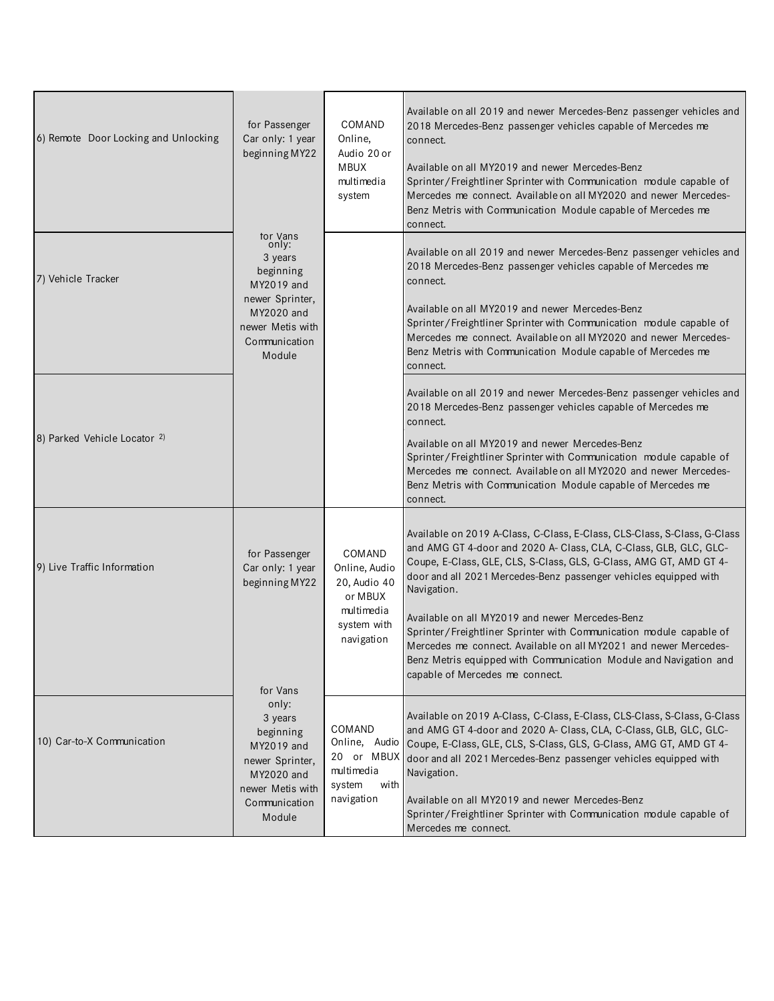| 6) Remote Door Locking and Unlocking | for Passenger<br>Car only: 1 year<br>beginning MY22                                                                                     | COMAND<br>Online,<br>Audio 20 or<br><b>MBUX</b><br>multimedia<br>system                       | Available on all 2019 and newer Mercedes-Benz passenger vehicles and<br>2018 Mercedes-Benz passenger vehicles capable of Mercedes me<br>connect.<br>Available on all MY2019 and newer Mercedes-Benz<br>Sprinter/Freightliner Sprinter with Communication module capable of<br>Mercedes me connect. Available on all MY2020 and newer Mercedes-<br>Benz Metris with Communication Module capable of Mercedes me<br>connect.                                                                                                                                                                                   |
|--------------------------------------|-----------------------------------------------------------------------------------------------------------------------------------------|-----------------------------------------------------------------------------------------------|--------------------------------------------------------------------------------------------------------------------------------------------------------------------------------------------------------------------------------------------------------------------------------------------------------------------------------------------------------------------------------------------------------------------------------------------------------------------------------------------------------------------------------------------------------------------------------------------------------------|
| 7) Vehicle Tracker                   | tor Vans<br>only:<br>3 years<br>beginning<br>MY2019 and<br>newer Sprinter,<br>MY2020 and<br>newer Metis with<br>Communication<br>Module |                                                                                               | Available on all 2019 and newer Mercedes-Benz passenger vehicles and<br>2018 Mercedes-Benz passenger vehicles capable of Mercedes me<br>connect.<br>Available on all MY2019 and newer Mercedes-Benz<br>Sprinter/Freightliner Sprinter with Communication module capable of<br>Mercedes me connect. Available on all MY2020 and newer Mercedes-<br>Benz Metris with Communication Module capable of Mercedes me<br>connect.                                                                                                                                                                                   |
| 8) Parked Vehicle Locator 2)         |                                                                                                                                         |                                                                                               | Available on all 2019 and newer Mercedes-Benz passenger vehicles and<br>2018 Mercedes-Benz passenger vehicles capable of Mercedes me<br>connect.<br>Available on all MY2019 and newer Mercedes-Benz<br>Sprinter/Freightliner Sprinter with Communication module capable of<br>Mercedes me connect. Available on all MY2020 and newer Mercedes-<br>Benz Metris with Communication Module capable of Mercedes me<br>connect.                                                                                                                                                                                   |
| 9) Live Traffic Information          | for Passenger<br>Car only: 1 year<br>beginning MY22<br>for Vans                                                                         | COMAND<br>Online, Audio<br>20, Audio 40<br>or MBUX<br>multimedia<br>system with<br>navigation | Available on 2019 A-Class, C-Class, E-Class, CLS-Class, S-Class, G-Class<br>and AMG GT 4-door and 2020 A- Class, CLA, C-Class, GLB, GLC, GLC-<br>Coupe, E-Class, GLE, CLS, S-Class, GLS, G-Class, AMG GT, AMD GT 4-<br>door and all 2021 Mercedes-Benz passenger vehicles equipped with<br>Navigation.<br>Available on all MY2019 and newer Mercedes-Benz<br>Sprinter/Freightliner Sprinter with Communication module capable of<br>Mercedes me connect. Available on all MY2021 and newer Mercedes-<br>Benz Metris equipped with Communication Module and Navigation and<br>capable of Mercedes me connect. |
| 10) Car-to-X Communication           | only:<br>3 years<br>beginning<br>MY2019 and<br>newer Sprinter,<br>MY2020 and<br>newer Metis with<br>Communication<br>Module             | COMAND<br>multimedia<br>system<br>with<br>navigation                                          | Available on 2019 A-Class, C-Class, E-Class, CLS-Class, S-Class, G-Class<br>and AMG GT 4-door and 2020 A- Class, CLA, C-Class, GLB, GLC, GLC-<br>Online, Audio Coupe, E-Class, GLE, CLS, S-Class, GLS, G-Class, AMG GT, AMD GT 4-<br>20 or MBUX door and all 2021 Mercedes-Benz passenger vehicles equipped with<br>Navigation.<br>Available on all MY2019 and newer Mercedes-Benz<br>Sprinter/Freightliner Sprinter with Communication module capable of<br>Mercedes me connect.                                                                                                                            |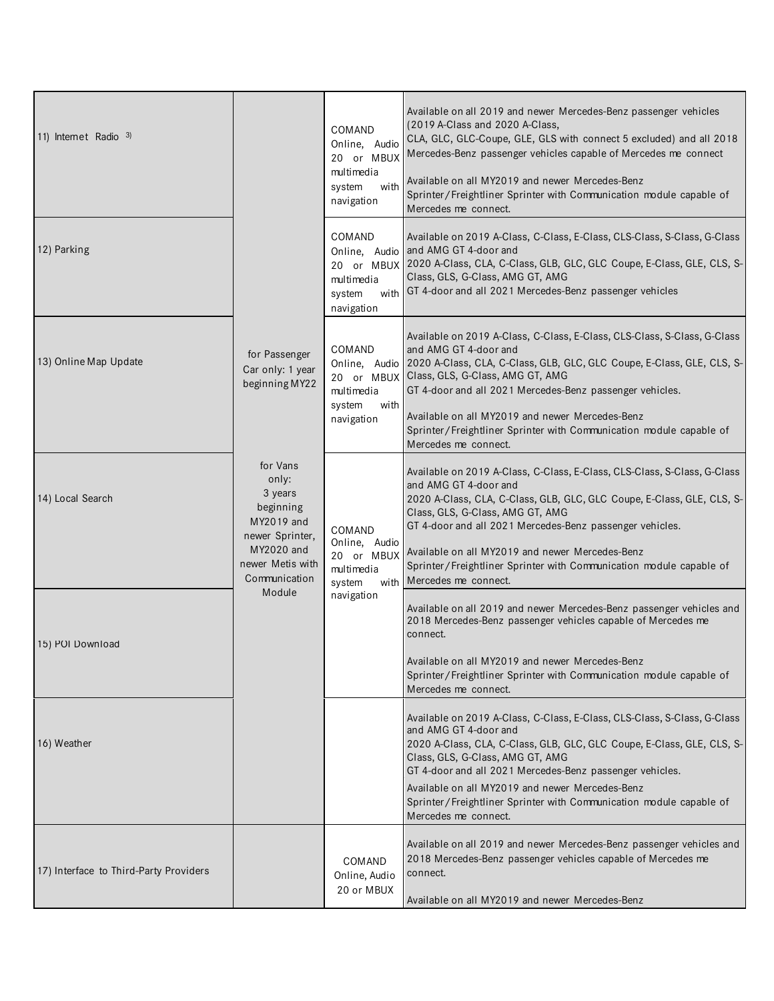| 11) Internet Radio $3$                 |                                                                                                                               | COMAND<br>Online, Audio<br>20 or MBUX<br>multimedia<br>with<br>system<br>navigation | Available on all 2019 and newer Mercedes-Benz passenger vehicles<br>(2019 A-Class and 2020 A-Class,<br>CLA, GLC, GLC-Coupe, GLE, GLS with connect 5 excluded) and all 2018<br>Mercedes-Benz passenger vehicles capable of Mercedes me connect<br>Available on all MY2019 and newer Mercedes-Benz<br>Sprinter/Freightliner Sprinter with Communication module capable of<br>Mercedes me connect.                                                        |
|----------------------------------------|-------------------------------------------------------------------------------------------------------------------------------|-------------------------------------------------------------------------------------|--------------------------------------------------------------------------------------------------------------------------------------------------------------------------------------------------------------------------------------------------------------------------------------------------------------------------------------------------------------------------------------------------------------------------------------------------------|
| 12) Parking                            |                                                                                                                               | COMAND<br>multimedia<br>with<br>system<br>navigation                                | Available on 2019 A-Class, C-Class, E-Class, CLS-Class, S-Class, G-Class<br>Online, Audio and AMG GT 4-door and<br>20 or MBUX 2020 A-Class, CLA, C-Class, GLB, GLC, GLC Coupe, E-Class, GLE, CLS, S-<br>Class, GLS, G-Class, AMG GT, AMG<br>GT 4-door and all 2021 Mercedes-Benz passenger vehicles                                                                                                                                                    |
| 13) Online Map Update                  | for Passenger<br>Car only: 1 year<br>beginning MY22                                                                           | COMAND<br>multimedia<br>system<br>with<br>navigation                                | Available on 2019 A-Class, C-Class, E-Class, CLS-Class, S-Class, G-Class<br>and AMG GT 4-door and<br>Online, Audio 2020 A-Class, CLA, C-Class, GLB, GLC, GLC Coupe, E-Class, GLE, CLS, S-<br>20 or MBUX Class, GLS, G-Class, AMG GT, AMG<br>GT 4-door and all 2021 Mercedes-Benz passenger vehicles.<br>Available on all MY2019 and newer Mercedes-Benz<br>Sprinter/Freightliner Sprinter with Communication module capable of<br>Mercedes me connect. |
| 14) Local Search                       | for Vans<br>only:<br>3 years<br>beginning<br>MY2019 and<br>newer Sprinter,<br>MY2020 and<br>newer Metis with<br>Communication | COMAND<br>Online, Audio<br>20 or MBUX<br>multimedia<br>system                       | Available on 2019 A-Class, C-Class, E-Class, CLS-Class, S-Class, G-Class<br>and AMG GT 4-door and<br>2020 A-Class, CLA, C-Class, GLB, GLC, GLC Coupe, E-Class, GLE, CLS, S-<br>Class, GLS, G-Class, AMG GT, AMG<br>GT 4-door and all 2021 Mercedes-Benz passenger vehicles.<br>Available on all MY2019 and newer Mercedes-Benz<br>Sprinter/Freightliner Sprinter with Communication module capable of<br>with Mercedes me connect.                     |
| 15) POI Download                       | Module                                                                                                                        | navigation                                                                          | Available on all 2019 and newer Mercedes-Benz passenger vehicles and<br>2018 Mercedes-Benz passenger vehicles capable of Mercedes me<br>connect.<br>Available on all MY2019 and newer Mercedes-Benz<br>Sprinter/Freightliner Sprinter with Communication module capable of<br>Mercedes me connect.                                                                                                                                                     |
| 16) Weather                            |                                                                                                                               |                                                                                     | Available on 2019 A-Class, C-Class, E-Class, CLS-Class, S-Class, G-Class<br>and AMG GT 4-door and<br>2020 A-Class, CLA, C-Class, GLB, GLC, GLC Coupe, E-Class, GLE, CLS, S-<br>Class, GLS, G-Class, AMG GT, AMG<br>GT 4-door and all 2021 Mercedes-Benz passenger vehicles.<br>Available on all MY2019 and newer Mercedes-Benz<br>Sprinter/Freightliner Sprinter with Communication module capable of<br>Mercedes me connect.                          |
| 17) Interface to Third-Party Providers |                                                                                                                               | COMAND<br>Online, Audio<br>20 or MBUX                                               | Available on all 2019 and newer Mercedes-Benz passenger vehicles and<br>2018 Mercedes-Benz passenger vehicles capable of Mercedes me<br>connect.<br>Available on all MY2019 and newer Mercedes-Benz                                                                                                                                                                                                                                                    |